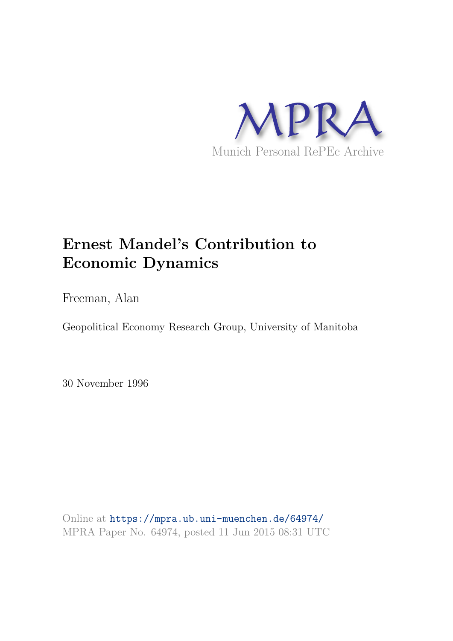

# **Ernest Mandel's Contribution to Economic Dynamics**

Freeman, Alan

Geopolitical Economy Research Group, University of Manitoba

30 November 1996

Online at https://mpra.ub.uni-muenchen.de/64974/ MPRA Paper No. 64974, posted 11 Jun 2015 08:31 UTC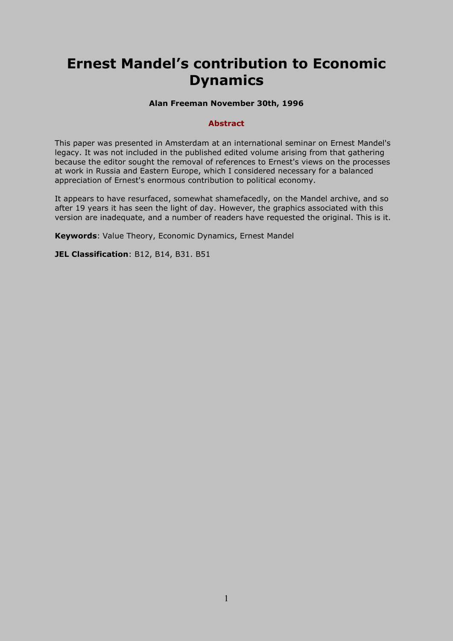## **Ernest Mandel's contribution to Economic Dynamics**

## **Alan Freeman November 30th, 1996**

#### **Abstract**

This paper was presented in Amsterdam at an international seminar on Ernest Mandel's legacy. It was not included in the published edited volume arising from that gathering because the editor sought the removal of references to Ernest's views on the processes at work in Russia and Eastern Europe, which I considered necessary for a balanced appreciation of Ernest's enormous contribution to political economy.

It appears to have resurfaced, somewhat shamefacedly, on the Mandel archive, and so after 19 years it has seen the light of day. However, the graphics associated with this version are inadequate, and a number of readers have requested the original. This is it.

**Keywords**: Value Theory, Economic Dynamics, Ernest Mandel

**JEL Classification**: B12, B14, B31. B51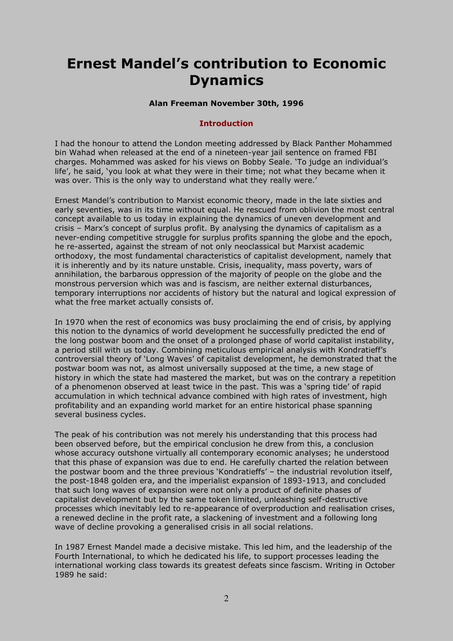## **Ernest Mandel's contribution to Economic Dynamics**

## **Alan Freeman November 30th, 1996**

### **Introduction**

I had the honour to attend the London meeting addressed by Black Panther Mohammed bin Wahad when released at the end of a nineteen-year jail sentence on framed FBI charges. Mohammed was asked for his views on Bobby Seale. 'To judge an individual's life', he said, 'you look at what they were in their time; not what they became when it was over. This is the only way to understand what they really were.'

Ernest Mandel's contribution to Marxist economic theory, made in the late sixties and early seventies, was in its time without equal. He rescued from oblivion the most central concept available to us today in explaining the dynamics of uneven development and crisis – Marx's concept of surplus profit. By analysing the dynamics of capitalism as a never-ending competitive struggle for surplus profits spanning the globe and the epoch, he re-asserted, against the stream of not only neoclassical but Marxist academic orthodoxy, the most fundamental characteristics of capitalist development, namely that it is inherently and by its nature unstable. Crisis, inequality, mass poverty, wars of annihilation, the barbarous oppression of the majority of people on the globe and the monstrous perversion which was and is fascism, are neither external disturbances, temporary interruptions nor accidents of history but the natural and logical expression of what the free market actually consists of.

In 1970 when the rest of economics was busy proclaiming the end of crisis, by applying this notion to the dynamics of world development he successfully predicted the end of the long postwar boom and the onset of a prolonged phase of world capitalist instability, a period still with us today. Combining meticulous empirical analysis with Kondratieff's controversial theory of 'Long Waves' of capitalist development, he demonstrated that the postwar boom was not, as almost universally supposed at the time, a new stage of history in which the state had mastered the market, but was on the contrary a repetition of a phenomenon observed at least twice in the past. This was a 'spring tide' of rapid accumulation in which technical advance combined with high rates of investment, high profitability and an expanding world market for an entire historical phase spanning several business cycles.

The peak of his contribution was not merely his understanding that this process had been observed before, but the empirical conclusion he drew from this, a conclusion whose accuracy outshone virtually all contemporary economic analyses; he understood that this phase of expansion was due to end. He carefully charted the relation between the postwar boom and the three previous 'Kondratieffs' – the industrial revolution itself, the post-1848 golden era, and the imperialist expansion of 1893-1913, and concluded that such long waves of expansion were not only a product of definite phases of capitalist development but by the same token limited, unleashing self-destructive processes which inevitably led to re-appearance of overproduction and realisation crises, a renewed decline in the profit rate, a slackening of investment and a following long wave of decline provoking a generalised crisis in all social relations.

In 1987 Ernest Mandel made a decisive mistake. This led him, and the leadership of the Fourth International, to which he dedicated his life, to support processes leading the international working class towards its greatest defeats since fascism. Writing in October 1989 he said: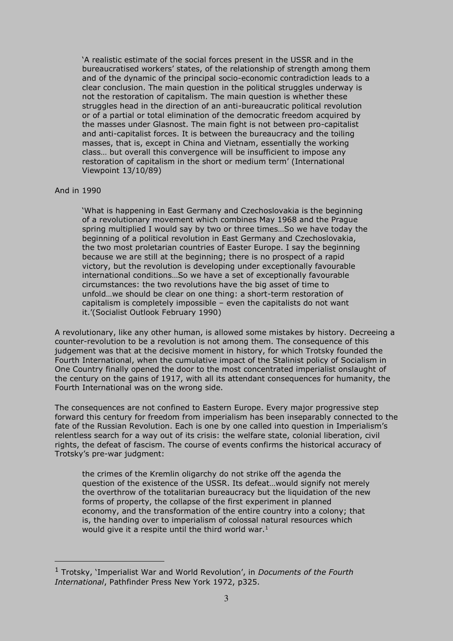'A realistic estimate of the social forces present in the USSR and in the bureaucratised workers' states, of the relationship of strength among them and of the dynamic of the principal socio-economic contradiction leads to a clear conclusion. The main question in the political struggles underway is not the restoration of capitalism. The main question is whether these struggles head in the direction of an anti-bureaucratic political revolution or of a partial or total elimination of the democratic freedom acquired by the masses under Glasnost. The main fight is not between pro-capitalist and anti-capitalist forces. It is between the bureaucracy and the toiling masses, that is, except in China and Vietnam, essentially the working class… but overall this convergence will be insufficient to impose any restoration of capitalism in the short or medium term' (International Viewpoint 13/10/89)

#### And in 1990

 $\overline{a}$ 

'What is happening in East Germany and Czechoslovakia is the beginning of a revolutionary movement which combines May 1968 and the Prague spring multiplied I would say by two or three times…So we have today the beginning of a political revolution in East Germany and Czechoslovakia, the two most proletarian countries of Easter Europe. I say the beginning because we are still at the beginning; there is no prospect of a rapid victory, but the revolution is developing under exceptionally favourable international conditions…So we have a set of exceptionally favourable circumstances: the two revolutions have the big asset of time to unfold…we should be clear on one thing: a short-term restoration of capitalism is completely impossible – even the capitalists do not want it.'(Socialist Outlook February 1990)

A revolutionary, like any other human, is allowed some mistakes by history. Decreeing a counter-revolution to be a revolution is not among them. The consequence of this judgement was that at the decisive moment in history, for which Trotsky founded the Fourth International, when the cumulative impact of the Stalinist policy of Socialism in One Country finally opened the door to the most concentrated imperialist onslaught of the century on the gains of 1917, with all its attendant consequences for humanity, the Fourth International was on the wrong side.

The consequences are not confined to Eastern Europe. Every major progressive step forward this century for freedom from imperialism has been inseparably connected to the fate of the Russian Revolution. Each is one by one called into question in Imperialism's relentless search for a way out of its crisis: the welfare state, colonial liberation, civil rights, the defeat of fascism. The course of events confirms the historical accuracy of Trotsky's pre-war judgment:

the crimes of the Kremlin oligarchy do not strike off the agenda the question of the existence of the USSR. Its defeat…would signify not merely the overthrow of the totalitarian bureaucracy but the liquidation of the new forms of property, the collapse of the first experiment in planned economy, and the transformation of the entire country into a colony; that is, the handing over to imperialism of colossal natural resources which would give it a respite until the third world war.<sup>1</sup>

<sup>1</sup> Trotsky, 'Imperialist War and World Revolution', in *Documents of the Fourth International*, Pathfinder Press New York 1972, p325.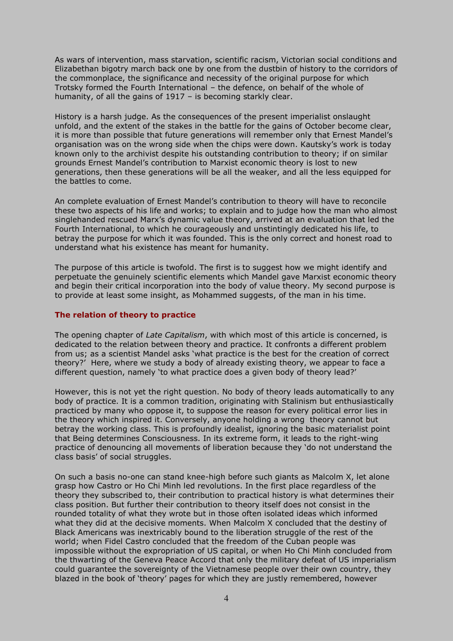As wars of intervention, mass starvation, scientific racism, Victorian social conditions and Elizabethan bigotry march back one by one from the dustbin of history to the corridors of the commonplace, the significance and necessity of the original purpose for which Trotsky formed the Fourth International – the defence, on behalf of the whole of humanity, of all the gains of 1917 – is becoming starkly clear.

History is a harsh judge. As the consequences of the present imperialist onslaught unfold, and the extent of the stakes in the battle for the gains of October become clear, it is more than possible that future generations will remember only that Ernest Mandel's organisation was on the wrong side when the chips were down. Kautsky's work is today known only to the archivist despite his outstanding contribution to theory; if on similar grounds Ernest Mandel's contribution to Marxist economic theory is lost to new generations, then these generations will be all the weaker, and all the less equipped for the battles to come.

An complete evaluation of Ernest Mandel's contribution to theory will have to reconcile these two aspects of his life and works; to explain and to judge how the man who almost singlehanded rescued Marx's dynamic value theory, arrived at an evaluation that led the Fourth International, to which he courageously and unstintingly dedicated his life, to betray the purpose for which it was founded. This is the only correct and honest road to understand what his existence has meant for humanity.

The purpose of this article is twofold. The first is to suggest how we might identify and perpetuate the genuinely scientific elements which Mandel gave Marxist economic theory and begin their critical incorporation into the body of value theory. My second purpose is to provide at least some insight, as Mohammed suggests, of the man in his time.

### **The relation of theory to practice**

The opening chapter of *Late Capitalism*, with which most of this article is concerned, is dedicated to the relation between theory and practice. It confronts a different problem from us; as a scientist Mandel asks 'what practice is the best for the creation of correct theory?' Here, where we study a body of already existing theory, we appear to face a different question, namely 'to what practice does a given body of theory lead?'

However, this is not yet the right question. No body of theory leads automatically to any body of practice. It is a common tradition, originating with Stalinism but enthusiastically practiced by many who oppose it, to suppose the reason for every political error lies in the theory which inspired it. Conversely, anyone holding a wrong theory cannot but betray the working class. This is profoundly idealist, ignoring the basic materialist point that Being determines Consciousness. In its extreme form, it leads to the right-wing practice of denouncing all movements of liberation because they 'do not understand the class basis' of social struggles.

On such a basis no-one can stand knee-high before such giants as Malcolm X, let alone grasp how Castro or Ho Chi Minh led revolutions. In the first place regardless of the theory they subscribed to, their contribution to practical history is what determines their class position. But further their contribution to theory itself does not consist in the rounded totality of what they wrote but in those often isolated ideas which informed what they did at the decisive moments. When Malcolm X concluded that the destiny of Black Americans was inextricably bound to the liberation struggle of the rest of the world; when Fidel Castro concluded that the freedom of the Cuban people was impossible without the expropriation of US capital, or when Ho Chi Minh concluded from the thwarting of the Geneva Peace Accord that only the military defeat of US imperialism could guarantee the sovereignty of the Vietnamese people over their own country, they blazed in the book of 'theory' pages for which they are justly remembered, however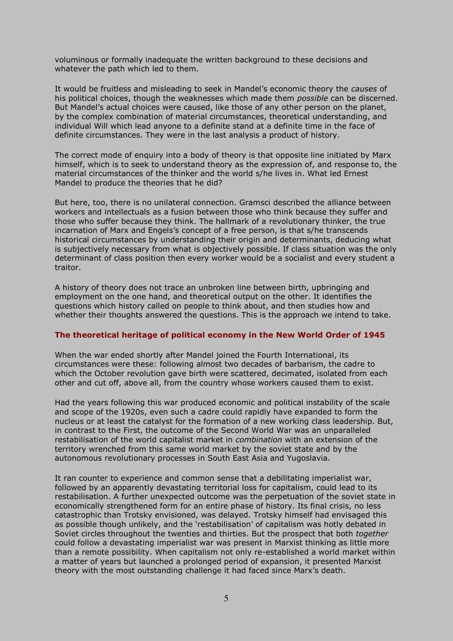voluminous or formally inadequate the written background to these decisions and whatever the path which led to them.

It would be fruitless and misleading to seek in Mandel's economic theory the *causes* of his political choices, though the weaknesses which made them *possible* can be discerned. But Mandel's actual choices were caused, like those of any other person on the planet, by the complex combination of material circumstances, theoretical understanding, and individual Will which lead anyone to a definite stand at a definite time in the face of definite circumstances. They were in the last analysis a product of history.

The correct mode of enquiry into a body of theory is that opposite line initiated by Marx himself, which is to seek to understand theory as the expression of, and response to, the material circumstances of the thinker and the world s/he lives in. What led Ernest Mandel to produce the theories that he did?

But here, too, there is no unilateral connection. Gramsci described the alliance between workers and intellectuals as a fusion between those who think because they suffer and those who suffer because they think. The hallmark of a revolutionary thinker, the true incarnation of Marx and Engels's concept of a free person, is that s/he transcends historical circumstances by understanding their origin and determinants, deducing what is subjectively necessary from what is objectively possible. If class situation was the only determinant of class position then every worker would be a socialist and every student a traitor.

A history of theory does not trace an unbroken line between birth, upbringing and employment on the one hand, and theoretical output on the other. It identifies the questions which history called on people to think about, and then studies how and whether their thoughts answered the questions. This is the approach we intend to take.

#### **The theoretical heritage of political economy in the New World Order of 1945**

When the war ended shortly after Mandel joined the Fourth International, its circumstances were these: following almost two decades of barbarism, the cadre to which the October revolution gave birth were scattered, decimated, isolated from each other and cut off, above all, from the country whose workers caused them to exist.

Had the years following this war produced economic and political instability of the scale and scope of the 1920s, even such a cadre could rapidly have expanded to form the nucleus or at least the catalyst for the formation of a new working class leadership. But, in contrast to the First, the outcome of the Second World War was an unparalleled restabilisation of the world capitalist market in *combination* with an extension of the territory wrenched from this same world market by the soviet state and by the autonomous revolutionary processes in South East Asia and Yugoslavia.

It ran counter to experience and common sense that a debilitating imperialist war, followed by an apparently devastating territorial loss for capitalism, could lead to its restabilisation. A further unexpected outcome was the perpetuation of the soviet state in economically strengthened form for an entire phase of history. Its final crisis, no less catastrophic than Trotsky envisioned, was delayed. Trotsky himself had envisaged this as possible though unlikely, and the 'restabilisation' of capitalism was hotly debated in Soviet circles throughout the twenties and thirties. But the prospect that both *together*  could follow a devastating imperialist war was present in Marxist thinking as little more than a remote possibility. When capitalism not only re-established a world market within a matter of years but launched a prolonged period of expansion, it presented Marxist theory with the most outstanding challenge it had faced since Marx's death.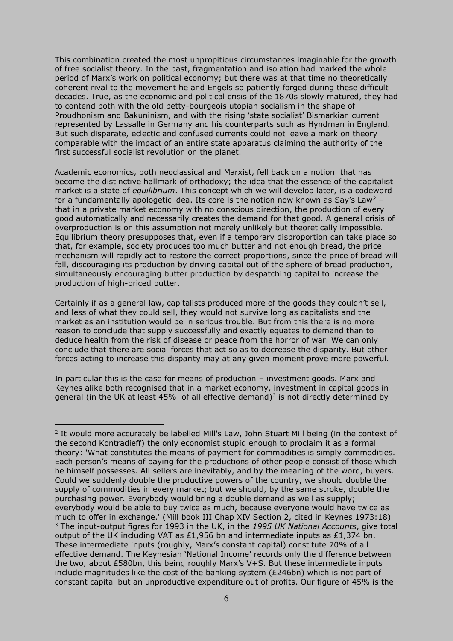This combination created the most unpropitious circumstances imaginable for the growth of free socialist theory. In the past, fragmentation and isolation had marked the whole period of Marx's work on political economy; but there was at that time no theoretically coherent rival to the movement he and Engels so patiently forged during these difficult decades. True, as the economic and political crisis of the 1870s slowly matured, they had to contend both with the old petty-bourgeois utopian socialism in the shape of Proudhonism and Bakuninism, and with the rising 'state socialist' Bismarkian current represented by Lassalle in Germany and his counterparts such as Hyndman in England. But such disparate, eclectic and confused currents could not leave a mark on theory comparable with the impact of an entire state apparatus claiming the authority of the first successful socialist revolution on the planet.

Academic economics, both neoclassical and Marxist, fell back on a notion that has become the distinctive hallmark of orthodoxy; the idea that the essence of the capitalist market is a state of *equilibrium*. This concept which we will develop later, is a codeword for a fundamentally apologetic idea. Its core is the notion now known as Say's Law<sup>2</sup> – that in a private market economy with no conscious direction, the production of every good automatically and necessarily creates the demand for that good. A general crisis of overproduction is on this assumption not merely unlikely but theoretically impossible. Equilibrium theory presupposes that, even if a temporary disproportion can take place so that, for example, society produces too much butter and not enough bread, the price mechanism will rapidly act to restore the correct proportions, since the price of bread will fall, discouraging its production by driving capital out of the sphere of bread production, simultaneously encouraging butter production by despatching capital to increase the production of high-priced butter.

Certainly if as a general law, capitalists produced more of the goods they couldn't sell, and less of what they could sell, they would not survive long as capitalists and the market as an institution would be in serious trouble. But from this there is no more reason to conclude that supply successfully and exactly equates to demand than to deduce health from the risk of disease or peace from the horror of war. We can only conclude that there are social forces that act so as to decrease the disparity. But other forces acting to increase this disparity may at any given moment prove more powerful.

In particular this is the case for means of production – investment goods. Marx and Keynes alike both recognised that in a market economy, investment in capital goods in general (in the UK at least 45% of all effective demand)<sup>3</sup> is not directly determined by

<sup>&</sup>lt;sup>2</sup> It would more accurately be labelled Mill's Law, John Stuart Mill being (in the context of the second Kontradieff) the only economist stupid enough to proclaim it as a formal theory: 'What constitutes the means of payment for commodities is simply commodities. Each person's means of paying for the productions of other people consist of those which he himself possesses. All sellers are inevitably, and by the meaning of the word, buyers. Could we suddenly double the productive powers of the country, we should double the supply of commodities in every market; but we should, by the same stroke, double the purchasing power. Everybody would bring a double demand as well as supply; everybody would be able to buy twice as much, because everyone would have twice as much to offer in exchange.' (Mill book III Chap XIV Section 2, cited in Keynes 1973:18) 3 The input-output figres for 1993 in the UK, in the *1995 UK National Accounts*, give total output of the UK including VAT as £1,956 bn and intermediate inputs as £1,374 bn. These intermediate inputs (roughly, Marx's constant capital) constitute 70% of all effective demand. The Keynesian 'National Income' records only the difference between the two, about £580bn, this being roughly Marx's V+S. But these intermediate inputs include magnitudes like the cost of the banking system (£246bn) which is not part of constant capital but an unproductive expenditure out of profits. Our figure of 45% is the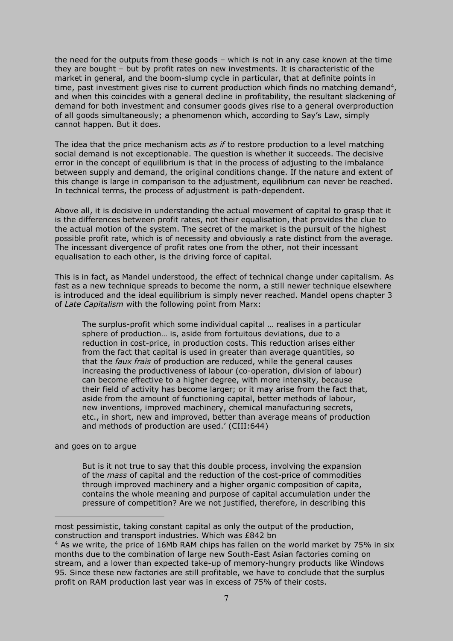the need for the outputs from these goods – which is not in any case known at the time they are bought – but by profit rates on new investments. It is characteristic of the market in general, and the boom-slump cycle in particular, that at definite points in time, past investment gives rise to current production which finds no matching demand<sup>4</sup>, and when this coincides with a general decline in profitability, the resultant slackening of demand for both investment and consumer goods gives rise to a general overproduction of all goods simultaneously; a phenomenon which, according to Say's Law, simply cannot happen. But it does.

The idea that the price mechanism acts *as if* to restore production to a level matching social demand is not exceptionable. The question is whether it succeeds. The decisive error in the concept of equilibrium is that in the process of adjusting to the imbalance between supply and demand, the original conditions change. If the nature and extent of this change is large in comparison to the adjustment, equilibrium can never be reached. In technical terms, the process of adjustment is path-dependent.

Above all, it is decisive in understanding the actual movement of capital to grasp that it is the differences between profit rates, not their equalisation, that provides the clue to the actual motion of the system. The secret of the market is the pursuit of the highest possible profit rate, which is of necessity and obviously a rate distinct from the average. The incessant divergence of profit rates one from the other, not their incessant equalisation to each other, is the driving force of capital.

This is in fact, as Mandel understood, the effect of technical change under capitalism. As fast as a new technique spreads to become the norm, a still newer technique elsewhere is introduced and the ideal equilibrium is simply never reached. Mandel opens chapter 3 of *Late Capitalism* with the following point from Marx:

The surplus-profit which some individual capital … realises in a particular sphere of production… is, aside from fortuitous deviations, due to a reduction in cost-price, in production costs. This reduction arises either from the fact that capital is used in greater than average quantities, so that the *faux frais* of production are reduced, while the general causes increasing the productiveness of labour (co-operation, division of labour) can become effective to a higher degree, with more intensity, because their field of activity has become larger; or it may arise from the fact that, aside from the amount of functioning capital, better methods of labour, new inventions, improved machinery, chemical manufacturing secrets, etc., in short, new and improved, better than average means of production and methods of production are used.' (CIII:644)

and goes on to argue

 $\overline{a}$ 

But is it not true to say that this double process, involving the expansion of the *mass* of capital and the reduction of the cost-price of commodities through improved machinery and a higher organic composition of capita, contains the whole meaning and purpose of capital accumulation under the pressure of competition? Are we not justified, therefore, in describing this

most pessimistic, taking constant capital as only the output of the production, construction and transport industries. Which was £842 bn

<sup>&</sup>lt;sup>4</sup> As we write, the price of 16Mb RAM chips has fallen on the world market by 75% in six months due to the combination of large new South-East Asian factories coming on stream, and a lower than expected take-up of memory-hungry products like Windows 95. Since these new factories are still profitable, we have to conclude that the surplus profit on RAM production last year was in excess of 75% of their costs.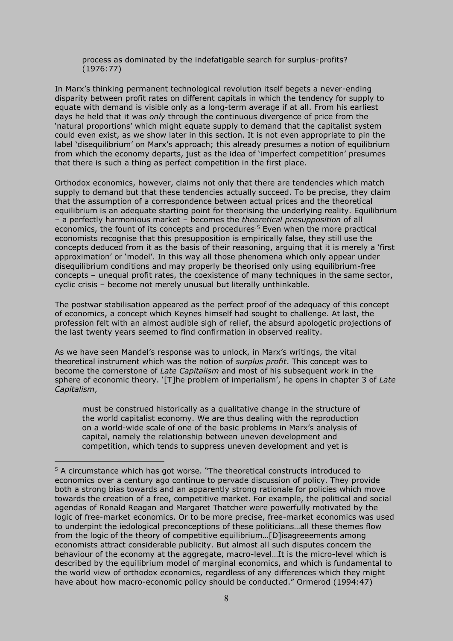process as dominated by the indefatigable search for surplus-profits? (1976:77)

In Marx's thinking permanent technological revolution itself begets a never-ending disparity between profit rates on different capitals in which the tendency for supply to equate with demand is visible only as a long-term average if at all. From his earliest days he held that it was *only* through the continuous divergence of price from the 'natural proportions' which might equate supply to demand that the capitalist system could even exist, as we show later in this section. It is not even appropriate to pin the label 'disequilibrium' on Marx's approach; this already presumes a notion of equilibrium from which the economy departs, just as the idea of 'imperfect competition' presumes that there is such a thing as perfect competition in the first place.

Orthodox economics, however, claims not only that there are tendencies which match supply to demand but that these tendencies actually succeed. To be precise, they claim that the assumption of a correspondence between actual prices and the theoretical equilibrium is an adequate starting point for theorising the underlying reality. Equilibrium – a perfectly harmonious market – becomes the *theoretical presupposition* of all economics, the fount of its concepts and procedures<sup>5</sup> Even when the more practical economists recognise that this presupposition is empirically false, they still use the concepts deduced from it as the basis of their reasoning, arguing that it is merely a 'first approximation' or 'model'. In this way all those phenomena which only appear under disequilibrium conditions and may properly be theorised only using equilibrium-free concepts – unequal profit rates, the coexistence of many techniques in the same sector, cyclic crisis – become not merely unusual but literally unthinkable.

The postwar stabilisation appeared as the perfect proof of the adequacy of this concept of economics, a concept which Keynes himself had sought to challenge. At last, the profession felt with an almost audible sigh of relief, the absurd apologetic projections of the last twenty years seemed to find confirmation in observed reality.

As we have seen Mandel's response was to unlock, in Marx's writings, the vital theoretical instrument which was the notion of *surplus profit*. This concept was to become the cornerstone of *Late Capitalism* and most of his subsequent work in the sphere of economic theory. '[T]he problem of imperialism', he opens in chapter 3 of *Late Capitalism*,

must be construed historically as a qualitative change in the structure of the world capitalist economy. We are thus dealing with the reproduction on a world-wide scale of one of the basic problems in Marx's analysis of capital, namely the relationship between uneven development and competition, which tends to suppress uneven development and yet is

<sup>5</sup> A circumstance which has got worse. "The theoretical constructs introduced to economics over a century ago continue to pervade discussion of policy. They provide both a strong bias towards and an apparently strong rationale for policies which move towards the creation of a free, competitive market. For example, the political and social agendas of Ronald Reagan and Margaret Thatcher were powerfully motivated by the logic of free-market economics. Or to be more precise, free-market economics was used to underpint the iedological preconceptions of these politicians…all these themes flow from the logic of the theory of competitive equilibrium…[D]isagreeements among economists attract considerable publicity. But almost all such disputes concern the behaviour of the economy at the aggregate, macro-level…It is the micro-level which is described by the equilibrium model of marginal economics, and which is fundamental to the world view of orthodox economics, regardless of any differences which they might have about how macro-economic policy should be conducted." Ormerod (1994:47)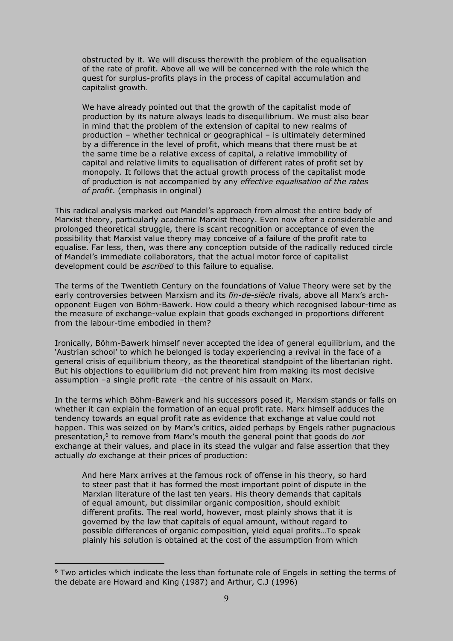obstructed by it. We will discuss therewith the problem of the equalisation of the rate of profit. Above all we will be concerned with the role which the quest for surplus-profits plays in the process of capital accumulation and capitalist growth.

We have already pointed out that the growth of the capitalist mode of production by its nature always leads to disequilibrium. We must also bear in mind that the problem of the extension of capital to new realms of production – whether technical or geographical – is ultimately determined by a difference in the level of profit, which means that there must be at the same time be a relative excess of capital, a relative immobility of capital and relative limits to equalisation of different rates of profit set by monopoly. It follows that the actual growth process of the capitalist mode of production is not accompanied by any *effective equalisation of the rates of profit*. (emphasis in original)

This radical analysis marked out Mandel's approach from almost the entire body of Marxist theory, particularly academic Marxist theory. Even now after a considerable and prolonged theoretical struggle, there is scant recognition or acceptance of even the possibility that Marxist value theory may conceive of a failure of the profit rate to equalise. Far less, then, was there any conception outside of the radically reduced circle of Mandel's immediate collaborators, that the actual motor force of capitalist development could be *ascribed* to this failure to equalise.

The terms of the Twentieth Century on the foundations of Value Theory were set by the early controversies between Marxism and its *fin-de-siècle* rivals, above all Marx's archopponent Eugen von Böhm-Bawerk. How could a theory which recognised labour-time as the measure of exchange-value explain that goods exchanged in proportions different from the labour-time embodied in them?

Ironically, Böhm-Bawerk himself never accepted the idea of general equilibrium, and the 'Austrian school' to which he belonged is today experiencing a revival in the face of a general crisis of equilibrium theory, as the theoretical standpoint of the libertarian right. But his objections to equilibrium did not prevent him from making its most decisive assumption –a single profit rate –the centre of his assault on Marx.

In the terms which Böhm-Bawerk and his successors posed it, Marxism stands or falls on whether it can explain the formation of an equal profit rate. Marx himself adduces the tendency towards an equal profit rate as evidence that exchange at value could not happen. This was seized on by Marx's critics, aided perhaps by Engels rather pugnacious presentation,<sup>6</sup> to remove from Marx's mouth the general point that goods do *not* exchange at their values, and place in its stead the vulgar and false assertion that they actually *do* exchange at their prices of production:

And here Marx arrives at the famous rock of offense in his theory, so hard to steer past that it has formed the most important point of dispute in the Marxian literature of the last ten years. His theory demands that capitals of equal amount, but dissimilar organic composition, should exhibit different profits. The real world, however, most plainly shows that it is governed by the law that capitals of equal amount, without regard to possible differences of organic composition, yield equal profits…To speak plainly his solution is obtained at the cost of the assumption from which

<sup>&</sup>lt;sup>6</sup> Two articles which indicate the less than fortunate role of Engels in setting the terms of the debate are Howard and King (1987) and Arthur, C.J (1996)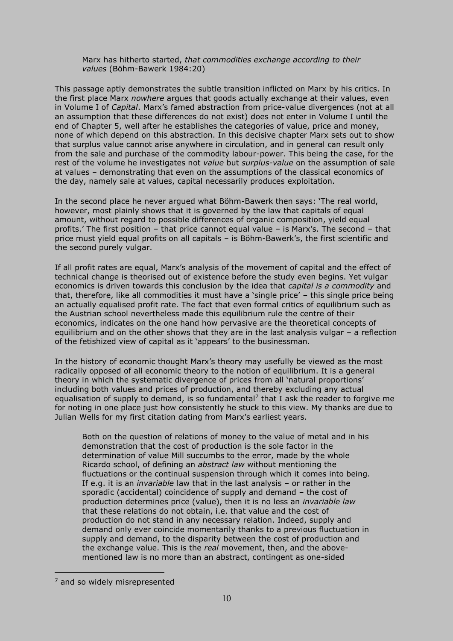Marx has hitherto started, *that commodities exchange according to their values* (Böhm-Bawerk 1984:20)

This passage aptly demonstrates the subtle transition inflicted on Marx by his critics. In the first place Marx *nowhere* argues that goods actually exchange at their values, even in Volume I of *Capital*. Marx's famed abstraction from price-value divergences (not at all an assumption that these differences do not exist) does not enter in Volume I until the end of Chapter 5, well after he establishes the categories of value, price and money, none of which depend on this abstraction. In this decisive chapter Marx sets out to show that surplus value cannot arise anywhere in circulation, and in general can result only from the sale and purchase of the commodity labour-power. This being the case, for the rest of the volume he investigates not *value* but *surplus-value* on the assumption of sale at values – demonstrating that even on the assumptions of the classical economics of the day, namely sale at values, capital necessarily produces exploitation.

In the second place he never argued what Böhm-Bawerk then says: 'The real world, however, most plainly shows that it is governed by the law that capitals of equal amount, without regard to possible differences of organic composition, yield equal profits.' The first position – that price cannot equal value – is Marx's. The second – that price must yield equal profits on all capitals – is Böhm-Bawerk's, the first scientific and the second purely vulgar.

If all profit rates are equal, Marx's analysis of the movement of capital and the effect of technical change is theorised out of existence before the study even begins. Yet vulgar economics is driven towards this conclusion by the idea that *capital is a commodity* and that, therefore, like all commodities it must have a 'single price' – this single price being an actually equalised profit rate. The fact that even formal critics of equilibrium such as the Austrian school nevertheless made this equilibrium rule the centre of their economics, indicates on the one hand how pervasive are the theoretical concepts of equilibrium and on the other shows that they are in the last analysis vulgar – a reflection of the fetishized view of capital as it 'appears' to the businessman.

In the history of economic thought Marx's theory may usefully be viewed as the most radically opposed of all economic theory to the notion of equilibrium. It is a general theory in which the systematic divergence of prices from all 'natural proportions' including both values and prices of production, and thereby excluding any actual equalisation of supply to demand, is so fundamental<sup>7</sup> that I ask the reader to forgive me for noting in one place just how consistently he stuck to this view. My thanks are due to Julian Wells for my first citation dating from Marx's earliest years.

Both on the question of relations of money to the value of metal and in his demonstration that the cost of production is the sole factor in the determination of value Mill succumbs to the error, made by the whole Ricardo school, of defining an *abstract law* without mentioning the fluctuations or the continual suspension through which it comes into being. If e.g. it is an *invariable* law that in the last analysis – or rather in the sporadic (accidental) coincidence of supply and demand – the cost of production determines price (value), then it is no less an *invariable law* that these relations do not obtain, i.e. that value and the cost of production do not stand in any necessary relation. Indeed, supply and demand only ever coincide momentarily thanks to a previous fluctuation in supply and demand, to the disparity between the cost of production and the exchange value. This is the *real* movement, then, and the abovementioned law is no more than an abstract, contingent as one-sided

<sup>&</sup>lt;sup>7</sup> and so widely misrepresented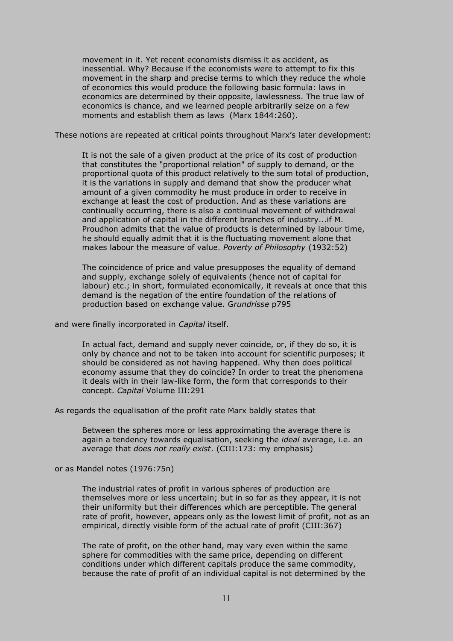movement in it. Yet recent economists dismiss it as accident, as inessential. Why? Because if the economists were to attempt to fix this movement in the sharp and precise terms to which they reduce the whole of economics this would produce the following basic formula: laws in economics are determined by their opposite, lawlessness. The true law of economics is chance, and we learned people arbitrarily seize on a few moments and establish them as laws (Marx 1844:260).

These notions are repeated at critical points throughout Marx's later development:

It is not the sale of a given product at the price of its cost of production that constitutes the "proportional relation" of supply to demand, or the proportional quota of this product relatively to the sum total of production, it is the variations in supply and demand that show the producer what amount of a given commodity he must produce in order to receive in exchange at least the cost of production. And as these variations are continually occurring, there is also a continual movement of withdrawal and application of capital in the different branches of industry...if M. Proudhon admits that the value of products is determined by labour time, he should equally admit that it is the fluctuating movement alone that makes labour the measure of value. *Poverty of Philosophy* (1932:52)

The coincidence of price and value presupposes the equality of demand and supply, exchange solely of equivalents (hence not of capital for labour) etc.; in short, formulated economically, it reveals at once that this demand is the negation of the entire foundation of the relations of production based on exchange value. G*rundrisse* p795

and were finally incorporated in *Capital* itself.

In actual fact, demand and supply never coincide, or, if they do so, it is only by chance and not to be taken into account for scientific purposes; it should be considered as not having happened. Why then does political economy assume that they do coincide? In order to treat the phenomena it deals with in their law-like form, the form that corresponds to their concept. *Capital* Volume III:291

As regards the equalisation of the profit rate Marx baldly states that

Between the spheres more or less approximating the average there is again a tendency towards equalisation, seeking the *ideal* average, i.e. an average that *does not really exist*. (CIII:173: my emphasis)

or as Mandel notes (1976:75n)

The industrial rates of profit in various spheres of production are themselves more or less uncertain; but in so far as they appear, it is not their uniformity but their differences which are perceptible. The general rate of profit, however, appears only as the lowest limit of profit, not as an empirical, directly visible form of the actual rate of profit (CIII:367)

The rate of profit, on the other hand, may vary even within the same sphere for commodities with the same price, depending on different conditions under which different capitals produce the same commodity, because the rate of profit of an individual capital is not determined by the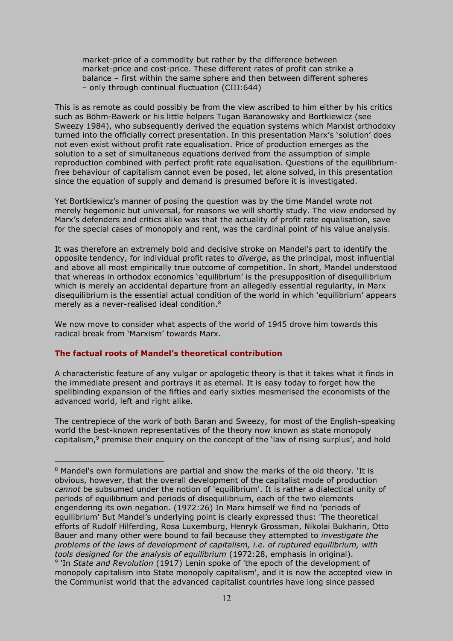market-price of a commodity but rather by the difference between market-price and cost-price. These different rates of profit can strike a balance – first within the same sphere and then between different spheres – only through continual fluctuation (CIII:644)

This is as remote as could possibly be from the view ascribed to him either by his critics such as Böhm-Bawerk or his little helpers Tugan Baranowsky and Bortkiewicz (see Sweezy 1984), who subsequently derived the equation systems which Marxist orthodoxy turned into the officially correct presentation. In this presentation Marx's 'solution' does not even exist without profit rate equalisation. Price of production emerges as the solution to a set of simultaneous equations derived from the assumption of simple reproduction combined with perfect profit rate equalisation. Questions of the equilibriumfree behaviour of capitalism cannot even be posed, let alone solved, in this presentation since the equation of supply and demand is presumed before it is investigated.

Yet Bortkiewicz's manner of posing the question was by the time Mandel wrote not merely hegemonic but universal, for reasons we will shortly study. The view endorsed by Marx's defenders and critics alike was that the actuality of profit rate equalisation, save for the special cases of monopoly and rent, was the cardinal point of his value analysis.

It was therefore an extremely bold and decisive stroke on Mandel's part to identify the opposite tendency, for individual profit rates to *diverge*, as the principal, most influential and above all most empirically true outcome of competition. In short, Mandel understood that whereas in orthodox economics 'equilibrium' is the presupposition of disequilibrium which is merely an accidental departure from an allegedly essential regularity, in Marx disequilibrium is the essential actual condition of the world in which 'equilibrium' appears merely as a never-realised ideal condition.<sup>8</sup>

We now move to consider what aspects of the world of 1945 drove him towards this radical break from 'Marxism' towards Marx.

## **The factual roots of Mandel's theoretical contribution**

 $\overline{a}$ 

A characteristic feature of any vulgar or apologetic theory is that it takes what it finds in the immediate present and portrays it as eternal. It is easy today to forget how the spellbinding expansion of the fifties and early sixties mesmerised the economists of the advanced world, left and right alike.

The centrepiece of the work of both Baran and Sweezy, for most of the English-speaking world the best-known representatives of the theory now known as state monopoly capitalism,<sup>9</sup> premise their enquiry on the concept of the 'law of rising surplus', and hold

<sup>&</sup>lt;sup>8</sup> Mandel's own formulations are partial and show the marks of the old theory. 'It is obvious, however, that the overall development of the capitalist mode of production *cannot* be subsumed under the notion of 'equilibrium'. It is rather a dialectical unity of periods of equilibrium and periods of disequilibrium, each of the two elements engendering its own negation. (1972:26) In Marx himself we find no 'periods of equilibrium' But Mandel's underlying point is clearly expressed thus: 'The theoretical efforts of Rudolf Hilferding, Rosa Luxemburg, Henryk Grossman, Nikolai Bukharin, Otto Bauer and many other were bound to fail because they attempted to *investigate the problems of the laws of development of capitalism, i.e. of ruptured equilibrium, with tools designed for the analysis of equilibrium* (1972:28, emphasis in original). 9 'In *State and Revolution* (1917) Lenin spoke of 'the epoch of the development of

monopoly capitalism into State monopoly capitalism', and it is now the accepted view in the Communist world that the advanced capitalist countries have long since passed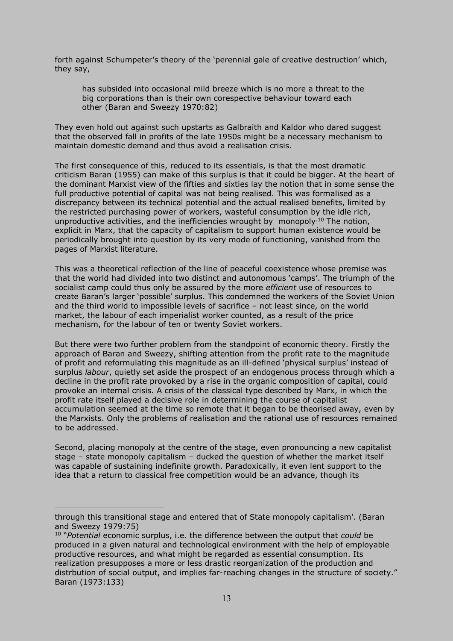forth against Schumpeter's theory of the 'perennial gale of creative destruction' which, they say,

has subsided into occasional mild breeze which is no more a threat to the big corporations than is their own corespective behaviour toward each other (Baran and Sweezy 1970:82)

They even hold out against such upstarts as Galbraith and Kaldor who dared suggest that the observed fall in profits of the late 1950s might be a necessary mechanism to maintain domestic demand and thus avoid a realisation crisis.

The first consequence of this, reduced to its essentials, is that the most dramatic criticism Baran (1955) can make of this surplus is that it could be bigger. At the heart of the dominant Marxist view of the fifties and sixties lay the notion that in some sense the full productive potential of capital was not being realised. This was formalised as a discrepancy between its technical potential and the actual realised benefits, limited by the restricted purchasing power of workers, wasteful consumption by the idle rich, unproductive activities, and the inefficiencies wrought by monopoly.10 The notion, explicit in Marx, that the capacity of capitalism to support human existence would be periodically brought into question by its very mode of functioning, vanished from the pages of Marxist literature.

This was a theoretical reflection of the line of peaceful coexistence whose premise was that the world had divided into two distinct and autonomous 'camps'. The triumph of the socialist camp could thus only be assured by the more *efficient* use of resources to create Baran's larger 'possible' surplus. This condemned the workers of the Soviet Union and the third world to impossible levels of sacrifice – not least since, on the world market, the labour of each imperialist worker counted, as a result of the price mechanism, for the labour of ten or twenty Soviet workers.

But there were two further problem from the standpoint of economic theory. Firstly the approach of Baran and Sweezy, shifting attention from the profit rate to the magnitude of profit and reformulating this magnitude as an ill-defined 'physical surplus' instead of surplus *labour*, quietly set aside the prospect of an endogenous process through which a decline in the profit rate provoked by a rise in the organic composition of capital, could provoke an internal crisis. A crisis of the classical type described by Marx, in which the profit rate itself played a decisive role in determining the course of capitalist accumulation seemed at the time so remote that it began to be theorised away, even by the Marxists. Only the problems of realisation and the rational use of resources remained to be addressed.

Second, placing monopoly at the centre of the stage, even pronouncing a new capitalist stage – state monopoly capitalism – ducked the question of whether the market itself was capable of sustaining indefinite growth. Paradoxically, it even lent support to the idea that a return to classical free competition would be an advance, though its

through this transitional stage and entered that of State monopoly capitalism'. (Baran and Sweezy 1979:75)

<sup>10</sup> "*Potential* economic surplus, i.e. the difference between the output that *could* be produced in a given natural and technological environment with the help of employable productive resources, and what might be regarded as essential consumption. Its realization presupposes a more or less drastic reorganization of the production and distrbution of social output, and implies far-reaching changes in the structure of society." Baran (1973:133)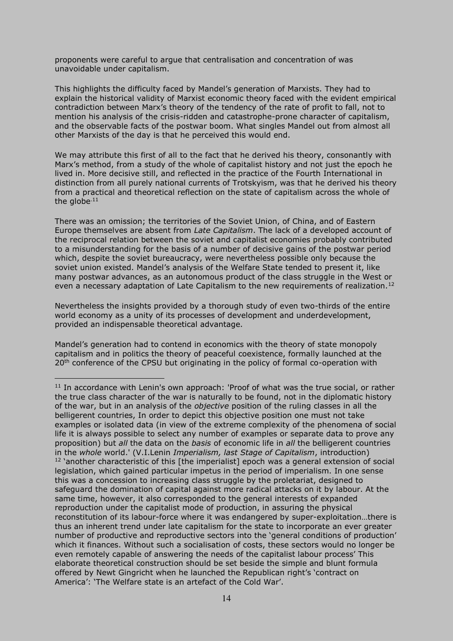proponents were careful to argue that centralisation and concentration of was unavoidable under capitalism.

This highlights the difficulty faced by Mandel's generation of Marxists. They had to explain the historical validity of Marxist economic theory faced with the evident empirical contradiction between Marx's theory of the tendency of the rate of profit to fall, not to mention his analysis of the crisis-ridden and catastrophe-prone character of capitalism, and the observable facts of the postwar boom. What singles Mandel out from almost all other Marxists of the day is that he perceived this would end.

We may attribute this first of all to the fact that he derived his theory, consonantly with Marx's method, from a study of the whole of capitalist history and not just the epoch he lived in. More decisive still, and reflected in the practice of the Fourth International in distinction from all purely national currents of Trotskyism, was that he derived his theory from a practical and theoretical reflection on the state of capitalism across the whole of the globe $<sup>11</sup>$ </sup>

There was an omission; the territories of the Soviet Union, of China, and of Eastern Europe themselves are absent from *Late Capitalism*. The lack of a developed account of the reciprocal relation between the soviet and capitalist economies probably contributed to a misunderstanding for the basis of a number of decisive gains of the postwar period which, despite the soviet bureaucracy, were nevertheless possible only because the soviet union existed. Mandel's analysis of the Welfare State tended to present it, like many postwar advances, as an autonomous product of the class struggle in the West or even a necessary adaptation of Late Capitalism to the new requirements of realization.<sup>12</sup>

Nevertheless the insights provided by a thorough study of even two-thirds of the entire world economy as a unity of its processes of development and underdevelopment, provided an indispensable theoretical advantage.

Mandel's generation had to contend in economics with the theory of state monopoly capitalism and in politics the theory of peaceful coexistence, formally launched at the  $20<sup>th</sup>$  conference of the CPSU but originating in the policy of formal co-operation with

 $11$  In accordance with Lenin's own approach: 'Proof of what was the true social, or rather the true class character of the war is naturally to be found, not in the diplomatic history of the war, but in an analysis of the *objective* position of the ruling classes in all the belligerent countries, In order to depict this objective position one must not take examples or isolated data (in view of the extreme complexity of the phenomena of social life it is always possible to select any number of examples or separate data to prove any proposition) but *all* the data on the *basis* of economic life in *all* the belligerent countries in the *whole* world.' (V.I.Lenin *Imperialism, last Stage of Capitalism*, introduction)  $12$  'another characteristic of this [the imperialist] epoch was a general extension of social legislation, which gained particular impetus in the period of imperialism. In one sense this was a concession to increasing class struggle by the proletariat, designed to safeguard the domination of capital against more radical attacks on it by labour. At the same time, however, it also corresponded to the general interests of expanded reproduction under the capitalist mode of production, in assuring the physical reconstitution of its labour-force where it was endangered by super-exploitation…there is thus an inherent trend under late capitalism for the state to incorporate an ever greater number of productive and reproductive sectors into the 'general conditions of production' which it finances. Without such a socialisation of costs, these sectors would no longer be even remotely capable of answering the needs of the capitalist labour process' This elaborate theoretical construction should be set beside the simple and blunt formula offered by Newt Gingricht when he launched the Republican right's 'contract on America': 'The Welfare state is an artefact of the Cold War'.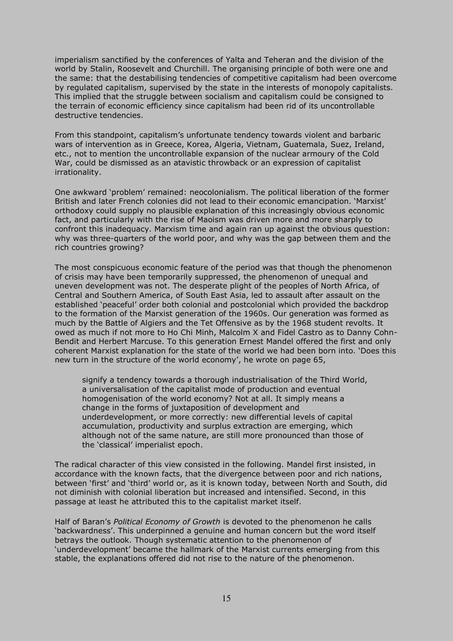imperialism sanctified by the conferences of Yalta and Teheran and the division of the world by Stalin, Roosevelt and Churchill. The organising principle of both were one and the same: that the destabilising tendencies of competitive capitalism had been overcome by regulated capitalism, supervised by the state in the interests of monopoly capitalists. This implied that the struggle between socialism and capitalism could be consigned to the terrain of economic efficiency since capitalism had been rid of its uncontrollable destructive tendencies.

From this standpoint, capitalism's unfortunate tendency towards violent and barbaric wars of intervention as in Greece, Korea, Algeria, Vietnam, Guatemala, Suez, Ireland, etc., not to mention the uncontrollable expansion of the nuclear armoury of the Cold War, could be dismissed as an atavistic throwback or an expression of capitalist irrationality.

One awkward 'problem' remained: neocolonialism. The political liberation of the former British and later French colonies did not lead to their economic emancipation. 'Marxist' orthodoxy could supply no plausible explanation of this increasingly obvious economic fact, and particularly with the rise of Maoism was driven more and more sharply to confront this inadequacy. Marxism time and again ran up against the obvious question: why was three-quarters of the world poor, and why was the gap between them and the rich countries growing?

The most conspicuous economic feature of the period was that though the phenomenon of crisis may have been temporarily suppressed, the phenomenon of unequal and uneven development was not. The desperate plight of the peoples of North Africa, of Central and Southern America, of South East Asia, led to assault after assault on the established 'peaceful' order both colonial and postcolonial which provided the backdrop to the formation of the Marxist generation of the 1960s. Our generation was formed as much by the Battle of Algiers and the Tet Offensive as by the 1968 student revolts. It owed as much if not more to Ho Chi Minh, Malcolm X and Fidel Castro as to Danny Cohn-Bendit and Herbert Marcuse. To this generation Ernest Mandel offered the first and only coherent Marxist explanation for the state of the world we had been born into. 'Does this new turn in the structure of the world economy', he wrote on page 65,

signify a tendency towards a thorough industrialisation of the Third World, a universalisation of the capitalist mode of production and eventual homogenisation of the world economy? Not at all. It simply means a change in the forms of juxtaposition of development and underdevelopment, or more correctly: new differential levels of capital accumulation, productivity and surplus extraction are emerging, which although not of the same nature, are still more pronounced than those of the 'classical' imperialist epoch.

The radical character of this view consisted in the following. Mandel first insisted, in accordance with the known facts, that the divergence between poor and rich nations, between 'first' and 'third' world or, as it is known today, between North and South, did not diminish with colonial liberation but increased and intensified. Second, in this passage at least he attributed this to the capitalist market itself.

Half of Baran's *Political Economy of Growth* is devoted to the phenomenon he calls 'backwardness'. This underpinned a genuine and human concern but the word itself betrays the outlook. Though systematic attention to the phenomenon of 'underdevelopment' became the hallmark of the Marxist currents emerging from this stable, the explanations offered did not rise to the nature of the phenomenon.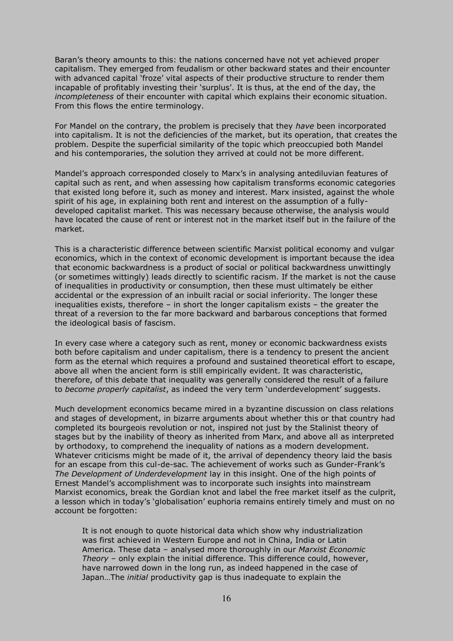Baran's theory amounts to this: the nations concerned have not yet achieved proper capitalism. They emerged from feudalism or other backward states and their encounter with advanced capital 'froze' vital aspects of their productive structure to render them incapable of profitably investing their 'surplus'. It is thus, at the end of the day, the *incompleteness* of their encounter with capital which explains their economic situation. From this flows the entire terminology.

For Mandel on the contrary, the problem is precisely that they *have* been incorporated into capitalism. It is not the deficiencies of the market, but its operation, that creates the problem. Despite the superficial similarity of the topic which preoccupied both Mandel and his contemporaries, the solution they arrived at could not be more different.

Mandel's approach corresponded closely to Marx's in analysing antediluvian features of capital such as rent, and when assessing how capitalism transforms economic categories that existed long before it, such as money and interest. Marx insisted, against the whole spirit of his age, in explaining both rent and interest on the assumption of a fullydeveloped capitalist market. This was necessary because otherwise, the analysis would have located the cause of rent or interest not in the market itself but in the failure of the market.

This is a characteristic difference between scientific Marxist political economy and vulgar economics, which in the context of economic development is important because the idea that economic backwardness is a product of social or political backwardness unwittingly (or sometimes wittingly) leads directly to scientific racism. If the market is not the cause of inequalities in productivity or consumption, then these must ultimately be either accidental or the expression of an inbuilt racial or social inferiority. The longer these inequalities exists, therefore – in short the longer capitalism exists – the greater the threat of a reversion to the far more backward and barbarous conceptions that formed the ideological basis of fascism.

In every case where a category such as rent, money or economic backwardness exists both before capitalism and under capitalism, there is a tendency to present the ancient form as the eternal which requires a profound and sustained theoretical effort to escape, above all when the ancient form is still empirically evident. It was characteristic, therefore, of this debate that inequality was generally considered the result of a failure to *become properly capitalist*, as indeed the very term 'underdevelopment' suggests.

Much development economics became mired in a byzantine discussion on class relations and stages of development, in bizarre arguments about whether this or that country had completed its bourgeois revolution or not, inspired not just by the Stalinist theory of stages but by the inability of theory as inherited from Marx, and above all as interpreted by orthodoxy, to comprehend the inequality of nations as a modern development. Whatever criticisms might be made of it, the arrival of dependency theory laid the basis for an escape from this cul-de-sac. The achievement of works such as Gunder-Frank's *The Development of Underdevelopment* lay in this insight. One of the high points of Ernest Mandel's accomplishment was to incorporate such insights into mainstream Marxist economics, break the Gordian knot and label the free market itself as the culprit, a lesson which in today's 'globalisation' euphoria remains entirely timely and must on no account be forgotten:

It is not enough to quote historical data which show why industrialization was first achieved in Western Europe and not in China, India or Latin America. These data – analysed more thoroughly in our *Marxist Economic Theory –* only explain the initial difference. This difference could, however, have narrowed down in the long run, as indeed happened in the case of Japan…The *initial* productivity gap is thus inadequate to explain the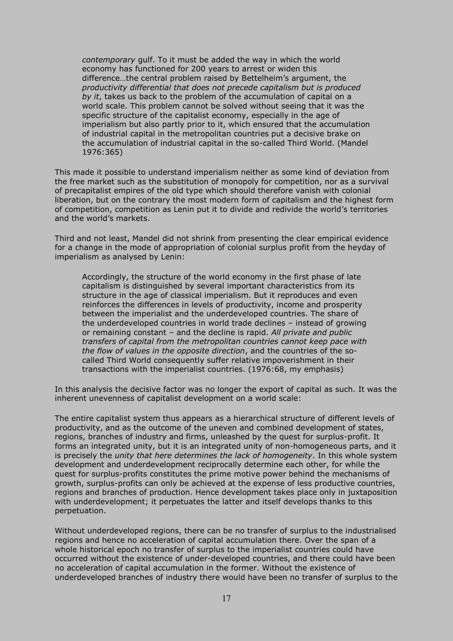*contemporary* gulf. To it must be added the way in which the world economy has functioned for 200 years to arrest or widen this difference…the central problem raised by Bettelheim's argument, the *productivity differential that does not precede capitalism but is produced by it*, takes us back to the problem of the accumulation of capital on a world scale. This problem cannot be solved without seeing that it was the specific structure of the capitalist economy, especially in the age of imperialism but also partly prior to it, which ensured that the accumulation of industrial capital in the metropolitan countries put a decisive brake on the accumulation of industrial capital in the so-called Third World. (Mandel 1976:365)

This made it possible to understand imperialism neither as some kind of deviation from the free market such as the substitution of monopoly for competition, nor as a survival of precapitalist empires of the old type which should therefore vanish with colonial liberation, but on the contrary the most modern form of capitalism and the highest form of competition, competition as Lenin put it to divide and redivide the world's territories and the world's markets.

Third and not least, Mandel did not shrink from presenting the clear empirical evidence for a change in the mode of appropriation of colonial surplus profit from the heyday of imperialism as analysed by Lenin:

Accordingly, the structure of the world economy in the first phase of late capitalism is distinguished by several important characteristics from its structure in the age of classical imperialism. But it reproduces and even reinforces the differences in levels of productivity, income and prosperity between the imperialist and the underdeveloped countries. The share of the underdeveloped countries in world trade declines – instead of growing or remaining constant – and the decline is rapid. *All private and public transfers of capital from the metropolitan countries cannot keep pace with the flow of values in the opposite direction*, and the countries of the socalled Third World consequently suffer relative impoverishment in their transactions with the imperialist countries. (1976:68, my emphasis)

In this analysis the decisive factor was no longer the export of capital as such. It was the inherent unevenness of capitalist development on a world scale:

The entire capitalist system thus appears as a hierarchical structure of different levels of productivity, and as the outcome of the uneven and combined development of states, regions, branches of industry and firms, unleashed by the quest for surplus-profit. It forms an integrated unity, but it is an integrated unity of non-homogeneous parts, and it is precisely the *unity that here determines the lack of homogeneity*. In this whole system development and underdevelopment reciprocally determine each other, for while the quest for surplus-profits constitutes the prime motive power behind the mechanisms of growth, surplus-profits can only be achieved at the expense of less productive countries, regions and branches of production. Hence development takes place only in juxtaposition with underdevelopment; it perpetuates the latter and itself develops thanks to this perpetuation.

Without underdeveloped regions, there can be no transfer of surplus to the industrialised regions and hence no acceleration of capital accumulation there. Over the span of a whole historical epoch no transfer of surplus to the imperialist countries could have occurred without the existence of under-developed countries, and there could have been no acceleration of capital accumulation in the former. Without the existence of underdeveloped branches of industry there would have been no transfer of surplus to the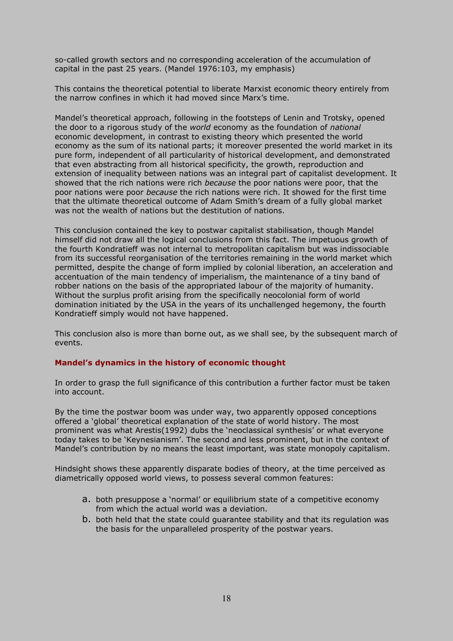so-called growth sectors and no corresponding acceleration of the accumulation of capital in the past 25 years. (Mandel 1976:103, my emphasis)

This contains the theoretical potential to liberate Marxist economic theory entirely from the narrow confines in which it had moved since Marx's time.

Mandel's theoretical approach, following in the footsteps of Lenin and Trotsky, opened the door to a rigorous study of the *world* economy as the foundation of *national*  economic development, in contrast to existing theory which presented the world economy as the sum of its national parts; it moreover presented the world market in its pure form, independent of all particularity of historical development, and demonstrated that even abstracting from all historical specificity, the growth, reproduction and extension of inequality between nations was an integral part of capitalist development. It showed that the rich nations were rich *because* the poor nations were poor, that the poor nations were poor *because* the rich nations were rich. It showed for the first time that the ultimate theoretical outcome of Adam Smith's dream of a fully global market was not the wealth of nations but the destitution of nations.

This conclusion contained the key to postwar capitalist stabilisation, though Mandel himself did not draw all the logical conclusions from this fact. The impetuous growth of the fourth Kondratieff was not internal to metropolitan capitalism but was indissociable from its successful reorganisation of the territories remaining in the world market which permitted, despite the change of form implied by colonial liberation, an acceleration and accentuation of the main tendency of imperialism, the maintenance of a tiny band of robber nations on the basis of the appropriated labour of the majority of humanity. Without the surplus profit arising from the specifically neocolonial form of world domination initiated by the USA in the years of its unchallenged hegemony, the fourth Kondratieff simply would not have happened.

This conclusion also is more than borne out, as we shall see, by the subsequent march of events.

### **Mandel's dynamics in the history of economic thought**

In order to grasp the full significance of this contribution a further factor must be taken into account.

By the time the postwar boom was under way, two apparently opposed conceptions offered a 'global' theoretical explanation of the state of world history. The most prominent was what Arestis(1992) dubs the 'neoclassical synthesis' or what everyone today takes to be 'Keynesianism'. The second and less prominent, but in the context of Mandel's contribution by no means the least important, was state monopoly capitalism.

Hindsight shows these apparently disparate bodies of theory, at the time perceived as diametrically opposed world views, to possess several common features:

- a. both presuppose a 'normal' or equilibrium state of a competitive economy from which the actual world was a deviation.
- b. both held that the state could guarantee stability and that its regulation was the basis for the unparalleled prosperity of the postwar years.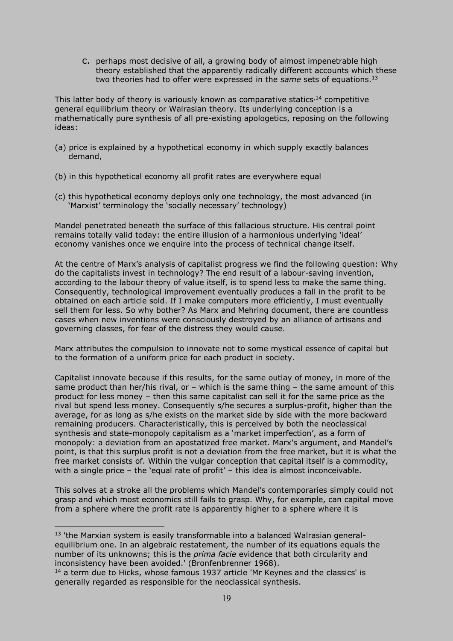c. perhaps most decisive of all, a growing body of almost impenetrable high theory established that the apparently radically different accounts which these two theories had to offer were expressed in the *same* sets of equations.<sup>13</sup>

This latter body of theory is variously known as comparative statics,  $14$  competitive general equilibrium theory or Walrasian theory. Its underlying conception is a mathematically pure synthesis of all pre-existing apologetics, reposing on the following ideas:

- (a) price is explained by a hypothetical economy in which supply exactly balances demand,
- (b) in this hypothetical economy all profit rates are everywhere equal
- (c) this hypothetical economy deploys only one technology, the most advanced (in 'Marxist' terminology the 'socially necessary' technology)

Mandel penetrated beneath the surface of this fallacious structure. His central point remains totally valid today: the entire illusion of a harmonious underlying 'ideal' economy vanishes once we enquire into the process of technical change itself.

At the centre of Marx's analysis of capitalist progress we find the following question: Why do the capitalists invest in technology? The end result of a labour-saving invention, according to the labour theory of value itself, is to spend less to make the same thing. Consequently, technological improvement eventually produces a fall in the profit to be obtained on each article sold. If I make computers more efficiently, I must eventually sell them for less. So why bother? As Marx and Mehring document, there are countless cases when new inventions were consciously destroyed by an alliance of artisans and governing classes, for fear of the distress they would cause.

Marx attributes the compulsion to innovate not to some mystical essence of capital but to the formation of a uniform price for each product in society.

Capitalist innovate because if this results, for the same outlay of money, in more of the same product than her/his rival, or  $-$  which is the same thing  $-$  the same amount of this product for less money – then this same capitalist can sell it for the same price as the rival but spend less money. Consequently s/he secures a surplus-profit, higher than the average, for as long as s/he exists on the market side by side with the more backward remaining producers. Characteristically, this is perceived by both the neoclassical synthesis and state-monopoly capitalism as a 'market imperfection', as a form of monopoly: a deviation from an apostatized free market. Marx's argument, and Mandel's point, is that this surplus profit is not a deviation from the free market, but it is what the free market consists of. Within the vulgar conception that capital itself is a commodity, with a single price – the 'equal rate of profit' – this idea is almost inconceivable.

This solves at a stroke all the problems which Mandel's contemporaries simply could not grasp and which most economics still fails to grasp. Why, for example, can capital move from a sphere where the profit rate is apparently higher to a sphere where it is

 $13$  'the Marxian system is easily transformable into a balanced Walrasian generalequilibrium one. In an algebraic restatement, the number of its equations equals the number of its unknowns; this is the *prima facie* evidence that both circularity and inconsistency have been avoided.' (Bronfenbrenner 1968).

 $14$  a term due to Hicks, whose famous 1937 article 'Mr Keynes and the classics' is generally regarded as responsible for the neoclassical synthesis.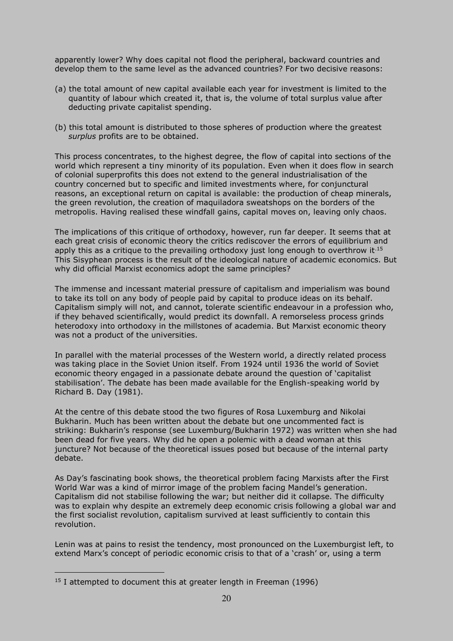apparently lower? Why does capital not flood the peripheral, backward countries and develop them to the same level as the advanced countries? For two decisive reasons:

- (a) the total amount of new capital available each year for investment is limited to the quantity of labour which created it, that is, the volume of total surplus value after deducting private capitalist spending.
- (b) this total amount is distributed to those spheres of production where the greatest *surplus* profits are to be obtained.

This process concentrates, to the highest degree, the flow of capital into sections of the world which represent a tiny minority of its population. Even when it does flow in search of colonial superprofits this does not extend to the general industrialisation of the country concerned but to specific and limited investments where, for conjunctural reasons, an exceptional return on capital is available: the production of cheap minerals, the green revolution, the creation of maquiladora sweatshops on the borders of the metropolis. Having realised these windfall gains, capital moves on, leaving only chaos.

The implications of this critique of orthodoxy, however, run far deeper. It seems that at each great crisis of economic theory the critics rediscover the errors of equilibrium and apply this as a critique to the prevailing orthodoxy just long enough to overthrow it.<sup>15</sup> This Sisyphean process is the result of the ideological nature of academic economics. But why did official Marxist economics adopt the same principles?

The immense and incessant material pressure of capitalism and imperialism was bound to take its toll on any body of people paid by capital to produce ideas on its behalf. Capitalism simply will not, and cannot, tolerate scientific endeavour in a profession who, if they behaved scientifically, would predict its downfall. A remorseless process grinds heterodoxy into orthodoxy in the millstones of academia. But Marxist economic theory was not a product of the universities.

In parallel with the material processes of the Western world, a directly related process was taking place in the Soviet Union itself. From 1924 until 1936 the world of Soviet economic theory engaged in a passionate debate around the question of 'capitalist stabilisation'. The debate has been made available for the English-speaking world by Richard B. Day (1981).

At the centre of this debate stood the two figures of Rosa Luxemburg and Nikolai Bukharin. Much has been written about the debate but one uncommented fact is striking: Bukharin's response (see Luxemburg/Bukharin 1972) was written when she had been dead for five years. Why did he open a polemic with a dead woman at this juncture? Not because of the theoretical issues posed but because of the internal party debate.

As Day's fascinating book shows, the theoretical problem facing Marxists after the First World War was a kind of mirror image of the problem facing Mandel's generation. Capitalism did not stabilise following the war; but neither did it collapse. The difficulty was to explain why despite an extremely deep economic crisis following a global war and the first socialist revolution, capitalism survived at least sufficiently to contain this revolution.

Lenin was at pains to resist the tendency, most pronounced on the Luxemburgist left, to extend Marx's concept of periodic economic crisis to that of a 'crash' or, using a term

 $15$  I attempted to document this at greater length in Freeman (1996)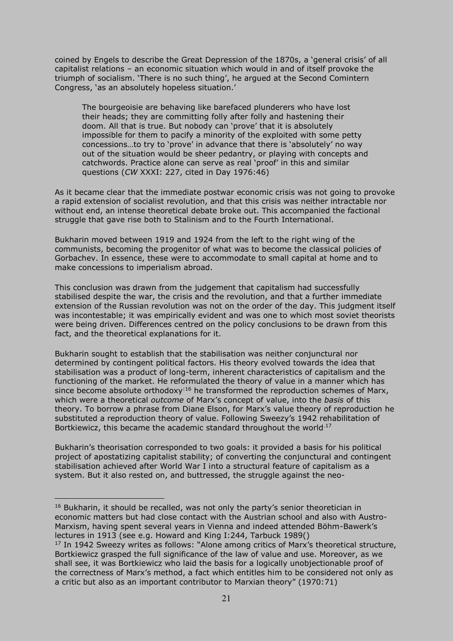coined by Engels to describe the Great Depression of the 1870s, a 'general crisis' of all capitalist relations – an economic situation which would in and of itself provoke the triumph of socialism. 'There is no such thing', he argued at the Second Comintern Congress, 'as an absolutely hopeless situation.'

The bourgeoisie are behaving like barefaced plunderers who have lost their heads; they are committing folly after folly and hastening their doom. All that is true. But nobody can 'prove' that it is absolutely impossible for them to pacify a minority of the exploited with some petty concessions…to try to 'prove' in advance that there is 'absolutely' no way out of the situation would be sheer pedantry, or playing with concepts and catchwords. Practice alone can serve as real 'proof' in this and similar questions (*CW* XXXI: 227, cited in Day 1976:46)

As it became clear that the immediate postwar economic crisis was not going to provoke a rapid extension of socialist revolution, and that this crisis was neither intractable nor without end, an intense theoretical debate broke out. This accompanied the factional struggle that gave rise both to Stalinism and to the Fourth International.

Bukharin moved between 1919 and 1924 from the left to the right wing of the communists, becoming the progenitor of what was to become the classical policies of Gorbachev. In essence, these were to accommodate to small capital at home and to make concessions to imperialism abroad.

This conclusion was drawn from the judgement that capitalism had successfully stabilised despite the war, the crisis and the revolution, and that a further immediate extension of the Russian revolution was not on the order of the day. This judgment itself was incontestable; it was empirically evident and was one to which most soviet theorists were being driven. Differences centred on the policy conclusions to be drawn from this fact, and the theoretical explanations for it.

Bukharin sought to establish that the stabilisation was neither conjunctural nor determined by contingent political factors. His theory evolved towards the idea that stabilisation was a product of long-term, inherent characteristics of capitalism and the functioning of the market. He reformulated the theory of value in a manner which has since become absolute orthodoxy<sup>:16</sup> he transformed the reproduction schemes of Marx, which were a theoretical *outcome* of Marx's concept of value, into the *basis* of this theory. To borrow a phrase from Diane Elson, for Marx's value theory of reproduction he substituted a reproduction theory of value. Following Sweezy's 1942 rehabilitation of Bortkiewicz, this became the academic standard throughout the world.<sup>17</sup>

Bukharin's theorisation corresponded to two goals: it provided a basis for his political project of apostatizing capitalist stability; of converting the conjunctural and contingent stabilisation achieved after World War I into a structural feature of capitalism as a system. But it also rested on, and buttressed, the struggle against the neo-

 $16$  Bukharin, it should be recalled, was not only the party's senior theoretician in economic matters but had close contact with the Austrian school and also with Austro-Marxism, having spent several years in Vienna and indeed attended Böhm-Bawerk's lectures in 1913 (see e.g. Howard and King I:244, Tarbuck 1989()

<sup>&</sup>lt;sup>17</sup> In 1942 Sweezy writes as follows: "Alone among critics of Marx's theoretical structure, Bortkiewicz grasped the full significance of the law of value and use. Moreover, as we shall see, it was Bortkiewicz who laid the basis for a logically unobjectionable proof of the correctness of Marx's method, a fact which entitles him to be considered not only as a critic but also as an important contributor to Marxian theory" (1970:71)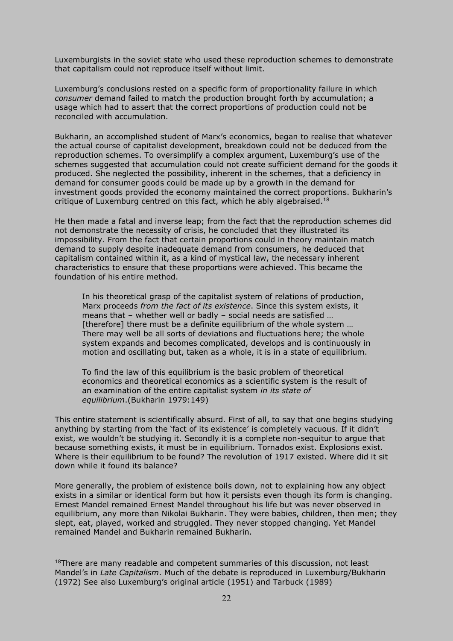Luxemburgists in the soviet state who used these reproduction schemes to demonstrate that capitalism could not reproduce itself without limit.

Luxemburg's conclusions rested on a specific form of proportionality failure in which *consumer* demand failed to match the production brought forth by accumulation; a usage which had to assert that the correct proportions of production could not be reconciled with accumulation.

Bukharin, an accomplished student of Marx's economics, began to realise that whatever the actual course of capitalist development, breakdown could not be deduced from the reproduction schemes. To oversimplify a complex argument, Luxemburg's use of the schemes suggested that accumulation could not create sufficient demand for the goods it produced. She neglected the possibility, inherent in the schemes, that a deficiency in demand for consumer goods could be made up by a growth in the demand for investment goods provided the economy maintained the correct proportions. Bukharin's critique of Luxemburg centred on this fact, which he ably algebraised.<sup>18</sup>

He then made a fatal and inverse leap; from the fact that the reproduction schemes did not demonstrate the necessity of crisis, he concluded that they illustrated its impossibility. From the fact that certain proportions could in theory maintain match demand to supply despite inadequate demand from consumers, he deduced that capitalism contained within it, as a kind of mystical law, the necessary inherent characteristics to ensure that these proportions were achieved. This became the foundation of his entire method.

In his theoretical grasp of the capitalist system of relations of production, Marx proceeds *from the fact of its existence*. Since this system exists, it means that – whether well or badly – social needs are satisfied … [therefore] there must be a definite equilibrium of the whole system ... There may well be all sorts of deviations and fluctuations here; the whole system expands and becomes complicated, develops and is continuously in motion and oscillating but, taken as a whole, it is in a state of equilibrium.

To find the law of this equilibrium is the basic problem of theoretical economics and theoretical economics as a scientific system is the result of an examination of the entire capitalist system *in its state of equilibrium*.(Bukharin 1979:149)

This entire statement is scientifically absurd. First of all, to say that one begins studying anything by starting from the 'fact of its existence' is completely vacuous. If it didn't exist, we wouldn't be studying it. Secondly it is a complete non-sequitur to argue that because something exists, it must be in equilibrium. Tornados exist. Explosions exist. Where is their equilibrium to be found? The revolution of 1917 existed. Where did it sit down while it found its balance?

More generally, the problem of existence boils down, not to explaining how any object exists in a similar or identical form but how it persists even though its form is changing. Ernest Mandel remained Ernest Mandel throughout his life but was never observed in equilibrium, any more than Nikolai Bukharin. They were babies, children, then men; they slept, eat, played, worked and struggled. They never stopped changing. Yet Mandel remained Mandel and Bukharin remained Bukharin.

 $18$ There are many readable and competent summaries of this discussion, not least Mandel's in *Late Capitalism*. Much of the debate is reproduced in Luxemburg/Bukharin (1972) See also Luxemburg's original article (1951) and Tarbuck (1989)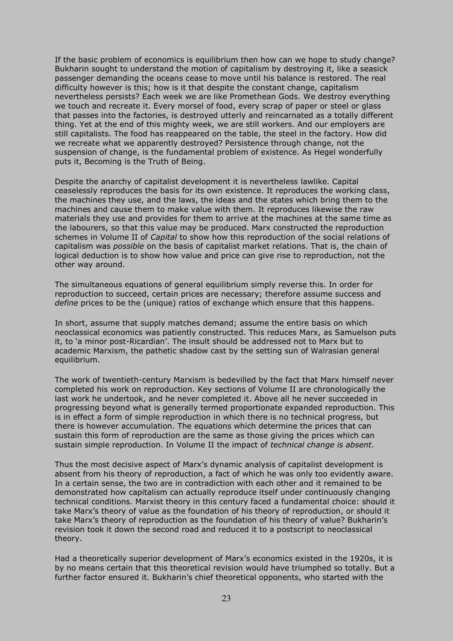If the basic problem of economics is equilibrium then how can we hope to study change? Bukharin sought to understand the motion of capitalism by destroying it, like a seasick passenger demanding the oceans cease to move until his balance is restored. The real difficulty however is this; how is it that despite the constant change, capitalism nevertheless persists? Each week we are like Promethean Gods. We destroy everything we touch and recreate it. Every morsel of food, every scrap of paper or steel or glass that passes into the factories, is destroyed utterly and reincarnated as a totally different thing. Yet at the end of this mighty week, we are still workers. And our employers are still capitalists. The food has reappeared on the table, the steel in the factory. How did we recreate what we apparently destroyed? Persistence through change, not the suspension of change, is the fundamental problem of existence. As Hegel wonderfully puts it, Becoming is the Truth of Being.

Despite the anarchy of capitalist development it is nevertheless lawlike. Capital ceaselessly reproduces the basis for its own existence. It reproduces the working class, the machines they use, and the laws, the ideas and the states which bring them to the machines and cause them to make value with them. It reproduces likewise the raw materials they use and provides for them to arrive at the machines at the same time as the labourers, so that this value may be produced. Marx constructed the reproduction schemes in Volume II of *Capital* to show how this reproduction of the social relations of capitalism was *possible* on the basis of capitalist market relations. That is, the chain of logical deduction is to show how value and price can give rise to reproduction, not the other way around.

The simultaneous equations of general equilibrium simply reverse this. In order for reproduction to succeed, certain prices are necessary; therefore assume success and *define* prices to be the (unique) ratios of exchange which ensure that this happens.

In short, assume that supply matches demand; assume the entire basis on which neoclassical economics was patiently constructed. This reduces Marx, as Samuelson puts it, to 'a minor post-Ricardian'. The insult should be addressed not to Marx but to academic Marxism, the pathetic shadow cast by the setting sun of Walrasian general equilibrium.

The work of twentieth-century Marxism is bedevilled by the fact that Marx himself never completed his work on reproduction. Key sections of Volume II are chronologically the last work he undertook, and he never completed it. Above all he never succeeded in progressing beyond what is generally termed proportionate expanded reproduction. This is in effect a form of simple reproduction in which there is no technical progress, but there is however accumulation. The equations which determine the prices that can sustain this form of reproduction are the same as those giving the prices which can sustain simple reproduction. In Volume II the impact of *technical change is absent*.

Thus the most decisive aspect of Marx's dynamic analysis of capitalist development is absent from his theory of reproduction, a fact of which he was only too evidently aware. In a certain sense, the two are in contradiction with each other and it remained to be demonstrated how capitalism can actually reproduce itself under continuously changing technical conditions. Marxist theory in this century faced a fundamental choice: should it take Marx's theory of value as the foundation of his theory of reproduction, or should it take Marx's theory of reproduction as the foundation of his theory of value? Bukharin's revision took it down the second road and reduced it to a postscript to neoclassical theory.

Had a theoretically superior development of Marx's economics existed in the 1920s, it is by no means certain that this theoretical revision would have triumphed so totally. But a further factor ensured it. Bukharin's chief theoretical opponents, who started with the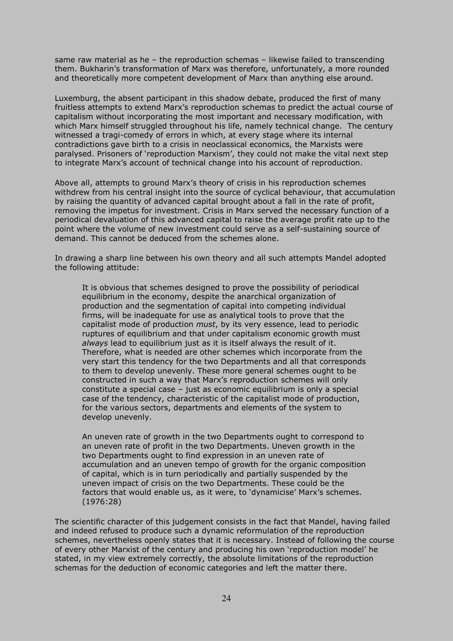same raw material as he – the reproduction schemas – likewise failed to transcending them. Bukharin's transformation of Marx was therefore, unfortunately, a more rounded and theoretically more competent development of Marx than anything else around.

Luxemburg, the absent participant in this shadow debate, produced the first of many fruitless attempts to extend Marx's reproduction schemas to predict the actual course of capitalism without incorporating the most important and necessary modification, with which Marx himself struggled throughout his life, namely technical change. The century witnessed a tragi-comedy of errors in which, at every stage where its internal contradictions gave birth to a crisis in neoclassical economics, the Marxists were paralysed. Prisoners of 'reproduction Marxism', they could not make the vital next step to integrate Marx's account of technical change into his account of reproduction.

Above all, attempts to ground Marx's theory of crisis in his reproduction schemes withdrew from his central insight into the source of cyclical behaviour, that accumulation by raising the quantity of advanced capital brought about a fall in the rate of profit, removing the impetus for investment. Crisis in Marx served the necessary function of a periodical devaluation of this advanced capital to raise the average profit rate up to the point where the volume of new investment could serve as a self-sustaining source of demand. This cannot be deduced from the schemes alone.

In drawing a sharp line between his own theory and all such attempts Mandel adopted the following attitude:

It is obvious that schemes designed to prove the possibility of periodical equilibrium in the economy, despite the anarchical organization of production and the segmentation of capital into competing individual firms, will be inadequate for use as analytical tools to prove that the capitalist mode of production *must*, by its very essence, lead to periodic ruptures of equilibrium and that under capitalism economic growth must *always* lead to equilibrium just as it is itself always the result of it. Therefore, what is needed are other schemes which incorporate from the very start this tendency for the two Departments and all that corresponds to them to develop unevenly. These more general schemes ought to be constructed in such a way that Marx's reproduction schemes will only constitute a special case – just as economic equilibrium is only a special case of the tendency, characteristic of the capitalist mode of production, for the various sectors, departments and elements of the system to develop unevenly.

An uneven rate of growth in the two Departments ought to correspond to an uneven rate of profit in the two Departments. Uneven growth in the two Departments ought to find expression in an uneven rate of accumulation and an uneven tempo of growth for the organic composition of capital, which is in turn periodically and partially suspended by the uneven impact of crisis on the two Departments. These could be the factors that would enable us, as it were, to 'dynamicise' Marx's schemes. (1976:28)

The scientific character of this judgement consists in the fact that Mandel, having failed and indeed refused to produce such a dynamic reformulation of the reproduction schemes, nevertheless openly states that it is necessary. Instead of following the course of every other Marxist of the century and producing his own 'reproduction model' he stated, in my view extremely correctly, the absolute limitations of the reproduction schemas for the deduction of economic categories and left the matter there.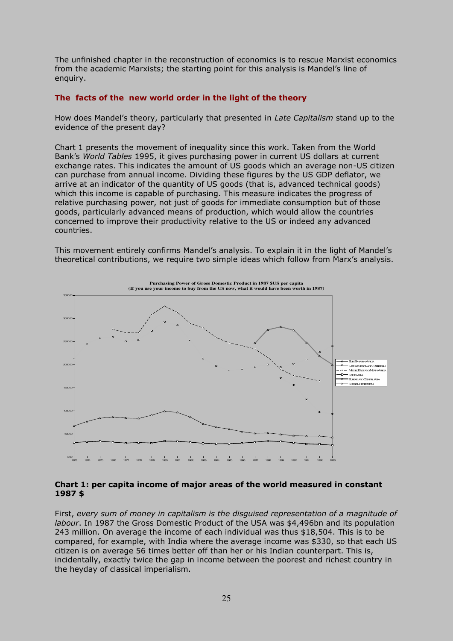The unfinished chapter in the reconstruction of economics is to rescue Marxist economics from the academic Marxists; the starting point for this analysis is Mandel's line of enquiry.

## **The facts of the new world order in the light of the theory**

How does Mandel's theory, particularly that presented in *Late Capitalism* stand up to the evidence of the present day?

Chart 1 presents the movement of inequality since this work. Taken from the World Bank's *World Tables* 1995, it gives purchasing power in current US dollars at current exchange rates. This indicates the amount of US goods which an average non-US citizen can purchase from annual income. Dividing these figures by the US GDP deflator, we arrive at an indicator of the quantity of US goods (that is, advanced technical goods) which this income is capable of purchasing. This measure indicates the progress of relative purchasing power, not just of goods for immediate consumption but of those goods, particularly advanced means of production, which would allow the countries concerned to improve their productivity relative to the US or indeed any advanced countries.

This movement entirely confirms Mandel's analysis. To explain it in the light of Mandel's theoretical contributions, we require two simple ideas which follow from Marx's analysis.



### **Chart 1: per capita income of major areas of the world measured in constant 1987 \$**

First, *every sum of money in capitalism is the disguised representation of a magnitude of labour*. In 1987 the Gross Domestic Product of the USA was \$4,496bn and its population 243 million. On average the income of each individual was thus \$18,504. This is to be compared, for example, with India where the average income was \$330, so that each US citizen is on average 56 times better off than her or his Indian counterpart. This is, incidentally, exactly twice the gap in income between the poorest and richest country in the heyday of classical imperialism.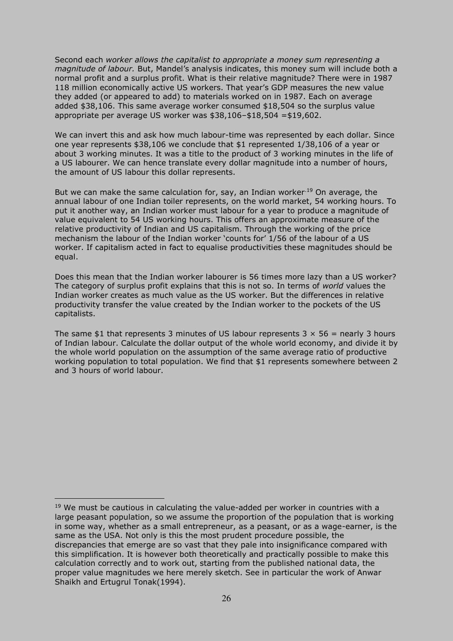Second each *worker allows the capitalist to appropriate a money sum representing a magnitude of labour.* But, Mandel's analysis indicates, this money sum will include both a normal profit and a surplus profit. What is their relative magnitude? There were in 1987 118 million economically active US workers. That year's GDP measures the new value they added (or appeared to add) to materials worked on in 1987. Each on average added \$38,106. This same average worker consumed \$18,504 so the surplus value appropriate per average US worker was \$38,106–\$18,504 =\$19,602.

We can invert this and ask how much labour-time was represented by each dollar. Since one year represents \$38,106 we conclude that \$1 represented 1/38,106 of a year or about 3 working minutes. It was a title to the product of 3 working minutes in the life of a US labourer. We can hence translate every dollar magnitude into a number of hours, the amount of US labour this dollar represents.

But we can make the same calculation for, say, an Indian worker.<sup>19</sup> On average, the annual labour of one Indian toiler represents, on the world market, 54 working hours. To put it another way, an Indian worker must labour for a year to produce a magnitude of value equivalent to 54 US working hours. This offers an approximate measure of the relative productivity of Indian and US capitalism. Through the working of the price mechanism the labour of the Indian worker 'counts for' 1/56 of the labour of a US worker. If capitalism acted in fact to equalise productivities these magnitudes should be equal.

Does this mean that the Indian worker labourer is 56 times more lazy than a US worker? The category of surplus profit explains that this is not so. In terms of *world* values the Indian worker creates as much value as the US worker. But the differences in relative productivity transfer the value created by the Indian worker to the pockets of the US capitalists.

The same \$1 that represents 3 minutes of US labour represents  $3 \times 56$  = nearly 3 hours of Indian labour. Calculate the dollar output of the whole world economy, and divide it by the whole world population on the assumption of the same average ratio of productive working population to total population. We find that \$1 represents somewhere between 2 and 3 hours of world labour.

 $19$  We must be cautious in calculating the value-added per worker in countries with a large peasant population, so we assume the proportion of the population that is working in some way, whether as a small entrepreneur, as a peasant, or as a wage-earner, is the same as the USA. Not only is this the most prudent procedure possible, the discrepancies that emerge are so vast that they pale into insignificance compared with this simplification. It is however both theoretically and practically possible to make this calculation correctly and to work out, starting from the published national data, the proper value magnitudes we here merely sketch. See in particular the work of Anwar Shaikh and Ertugrul Tonak(1994).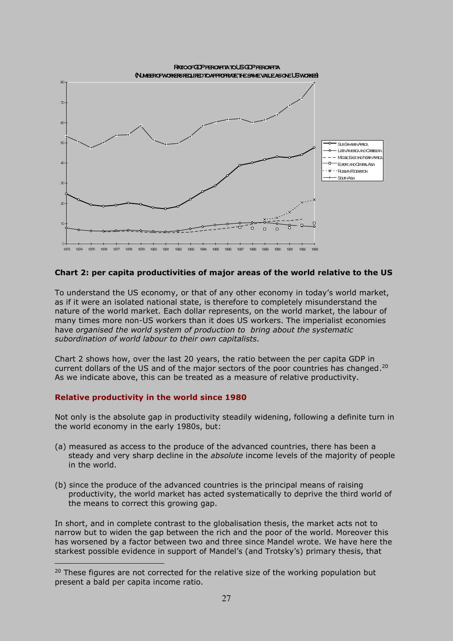

## **Chart 2: per capita productivities of major areas of the world relative to the US**

To understand the US economy, or that of any other economy in today's world market, as if it were an isolated national state, is therefore to completely misunderstand the nature of the world market. Each dollar represents, on the world market, the labour of many times more non-US workers than it does US workers. The imperialist economies have *organised the world system of production to bring about the systematic subordination of world labour to their own capitalists.* 

Chart 2 shows how, over the last 20 years, the ratio between the per capita GDP in current dollars of the US and of the major sectors of the poor countries has changed.<sup>20</sup> As we indicate above, this can be treated as a measure of relative productivity.

### **Relative productivity in the world since 1980**

 $\overline{a}$ 

Not only is the absolute gap in productivity steadily widening, following a definite turn in the world economy in the early 1980s, but:

- (a) measured as access to the produce of the advanced countries, there has been a steady and very sharp decline in the *absolute* income levels of the majority of people in the world.
- (b) since the produce of the advanced countries is the principal means of raising productivity, the world market has acted systematically to deprive the third world of the means to correct this growing gap.

In short, and in complete contrast to the globalisation thesis, the market acts not to narrow but to widen the gap between the rich and the poor of the world. Moreover this has worsened by a factor between two and three since Mandel wrote. We have here the starkest possible evidence in support of Mandel's (and Trotsky's) primary thesis, that

<sup>&</sup>lt;sup>20</sup> These figures are not corrected for the relative size of the working population but present a bald per capita income ratio.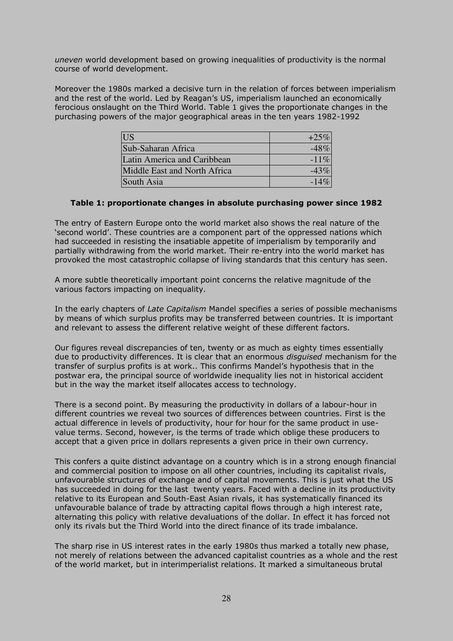*uneven* world development based on growing inequalities of productivity is the normal course of world development.

Moreover the 1980s marked a decisive turn in the relation of forces between imperialism and the rest of the world. Led by Reagan's US, imperialism launched an economically ferocious onslaught on the Third World. Table 1 gives the proportionate changes in the purchasing powers of the major geographical areas in the ten years 1982-1992

| <b>IUS</b>                   | $+25%$  |
|------------------------------|---------|
| Sub-Saharan Africa           | $-48%$  |
| Latin America and Caribbean  | $-11\%$ |
| Middle East and North Africa | $-43%$  |
| South Asia                   | $-14\%$ |

## **Table 1: proportionate changes in absolute purchasing power since 1982**

The entry of Eastern Europe onto the world market also shows the real nature of the 'second world'. These countries are a component part of the oppressed nations which had succeeded in resisting the insatiable appetite of imperialism by temporarily and partially withdrawing from the world market. Their re-entry into the world market has provoked the most catastrophic collapse of living standards that this century has seen.

A more subtle theoretically important point concerns the relative magnitude of the various factors impacting on inequality.

In the early chapters of *Late Capitalism* Mandel specifies a series of possible mechanisms by means of which surplus profits may be transferred between countries. It is important and relevant to assess the different relative weight of these different factors.

Our figures reveal discrepancies of ten, twenty or as much as eighty times essentially due to productivity differences. It is clear that an enormous *disguised* mechanism for the transfer of surplus profits is at work.. This confirms Mandel's hypothesis that in the postwar era, the principal source of worldwide inequality lies not in historical accident but in the way the market itself allocates access to technology.

There is a second point. By measuring the productivity in dollars of a labour-hour in different countries we reveal two sources of differences between countries. First is the actual difference in levels of productivity, hour for hour for the same product in usevalue terms. Second, however, is the terms of trade which oblige these producers to accept that a given price in dollars represents a given price in their own currency.

This confers a quite distinct advantage on a country which is in a strong enough financial and commercial position to impose on all other countries, including its capitalist rivals, unfavourable structures of exchange and of capital movements. This is just what the US has succeeded in doing for the last twenty years. Faced with a decline in its productivity relative to its European and South-East Asian rivals, it has systematically financed its unfavourable balance of trade by attracting capital flows through a high interest rate, alternating this policy with relative devaluations of the dollar. In effect it has forced not only its rivals but the Third World into the direct finance of its trade imbalance.

The sharp rise in US interest rates in the early 1980s thus marked a totally new phase, not merely of relations between the advanced capitalist countries as a whole and the rest of the world market, but in interimperialist relations. It marked a simultaneous brutal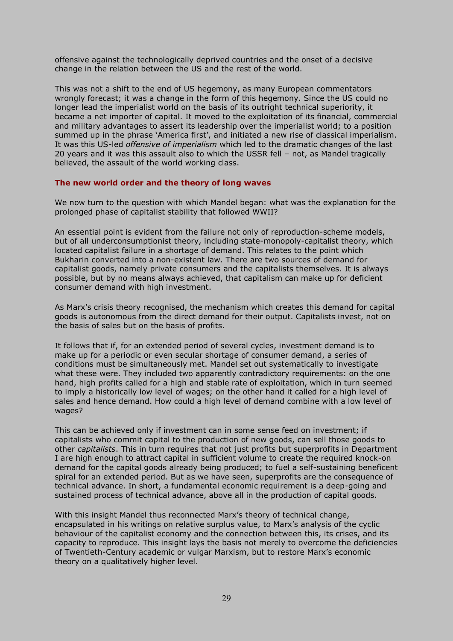offensive against the technologically deprived countries and the onset of a decisive change in the relation between the US and the rest of the world.

This was not a shift to the end of US hegemony, as many European commentators wrongly forecast; it was a change in the form of this hegemony. Since the US could no longer lead the imperialist world on the basis of its outright technical superiority, it became a net importer of capital. It moved to the exploitation of its financial, commercial and military advantages to assert its leadership over the imperialist world; to a position summed up in the phrase 'America first', and initiated a new rise of classical imperialism. It was this US-led *offensive of imperialism* which led to the dramatic changes of the last 20 years and it was this assault also to which the USSR fell – not, as Mandel tragically believed, the assault of the world working class.

## **The new world order and the theory of long waves**

We now turn to the question with which Mandel began: what was the explanation for the prolonged phase of capitalist stability that followed WWII?

An essential point is evident from the failure not only of reproduction-scheme models, but of all underconsumptionist theory, including state-monopoly-capitalist theory, which located capitalist failure in a shortage of demand. This relates to the point which Bukharin converted into a non-existent law. There are two sources of demand for capitalist goods, namely private consumers and the capitalists themselves. It is always possible, but by no means always achieved, that capitalism can make up for deficient consumer demand with high investment.

As Marx's crisis theory recognised, the mechanism which creates this demand for capital goods is autonomous from the direct demand for their output. Capitalists invest, not on the basis of sales but on the basis of profits.

It follows that if, for an extended period of several cycles, investment demand is to make up for a periodic or even secular shortage of consumer demand, a series of conditions must be simultaneously met. Mandel set out systematically to investigate what these were. They included two apparently contradictory requirements: on the one hand, high profits called for a high and stable rate of exploitation, which in turn seemed to imply a historically low level of wages; on the other hand it called for a high level of sales and hence demand. How could a high level of demand combine with a low level of wages?

This can be achieved only if investment can in some sense feed on investment; if capitalists who commit capital to the production of new goods, can sell those goods to other *capitalists*. This in turn requires that not just profits but superprofits in Department I are high enough to attract capital in sufficient volume to create the required knock-on demand for the capital goods already being produced; to fuel a self-sustaining beneficent spiral for an extended period. But as we have seen, superprofits are the consequence of technical advance. In short, a fundamental economic requirement is a deep-going and sustained process of technical advance, above all in the production of capital goods.

With this insight Mandel thus reconnected Marx's theory of technical change, encapsulated in his writings on relative surplus value, to Marx's analysis of the cyclic behaviour of the capitalist economy and the connection between this, its crises, and its capacity to reproduce. This insight lays the basis not merely to overcome the deficiencies of Twentieth-Century academic or vulgar Marxism, but to restore Marx's economic theory on a qualitatively higher level.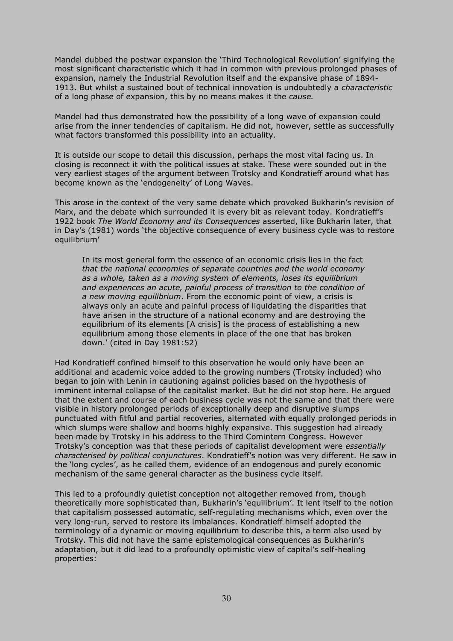Mandel dubbed the postwar expansion the 'Third Technological Revolution' signifying the most significant characteristic which it had in common with previous prolonged phases of expansion, namely the Industrial Revolution itself and the expansive phase of 1894- 1913. But whilst a sustained bout of technical innovation is undoubtedly a *characteristic* of a long phase of expansion, this by no means makes it the *cause.*

Mandel had thus demonstrated how the possibility of a long wave of expansion could arise from the inner tendencies of capitalism. He did not, however, settle as successfully what factors transformed this possibility into an actuality.

It is outside our scope to detail this discussion, perhaps the most vital facing us. In closing is reconnect it with the political issues at stake. These were sounded out in the very earliest stages of the argument between Trotsky and Kondratieff around what has become known as the 'endogeneity' of Long Waves.

This arose in the context of the very same debate which provoked Bukharin's revision of Marx, and the debate which surrounded it is every bit as relevant today. Kondratieff's 1922 book *The World Economy and its Consequences* asserted, like Bukharin later, that in Day's (1981) words 'the objective consequence of every business cycle was to restore equilibrium'

In its most general form the essence of an economic crisis lies in the fact *that the national economies of separate countries and the world economy as a whole, taken as a moving system of elements, loses its equilibrium and experiences an acute, painful process of transition to the condition of a new moving equilibrium*. From the economic point of view, a crisis is always only an acute and painful process of liquidating the disparities that have arisen in the structure of a national economy and are destroying the equilibrium of its elements [A crisis] is the process of establishing a new equilibrium among those elements in place of the one that has broken down.' (cited in Day 1981:52)

Had Kondratieff confined himself to this observation he would only have been an additional and academic voice added to the growing numbers (Trotsky included) who began to join with Lenin in cautioning against policies based on the hypothesis of imminent internal collapse of the capitalist market. But he did not stop here. He argued that the extent and course of each business cycle was not the same and that there were visible in history prolonged periods of exceptionally deep and disruptive slumps punctuated with fitful and partial recoveries, alternated with equally prolonged periods in which slumps were shallow and booms highly expansive. This suggestion had already been made by Trotsky in his address to the Third Comintern Congress. However Trotsky's conception was that these periods of capitalist development were *essentially characterised by political conjunctures*. Kondratieff's notion was very different. He saw in the 'long cycles', as he called them, evidence of an endogenous and purely economic mechanism of the same general character as the business cycle itself.

This led to a profoundly quietist conception not altogether removed from, though theoretically more sophisticated than, Bukharin's 'equilibrium'. It lent itself to the notion that capitalism possessed automatic, self-regulating mechanisms which, even over the very long-run, served to restore its imbalances. Kondratieff himself adopted the terminology of a dynamic or moving equilibrium to describe this, a term also used by Trotsky. This did not have the same epistemological consequences as Bukharin's adaptation, but it did lead to a profoundly optimistic view of capital's self-healing properties: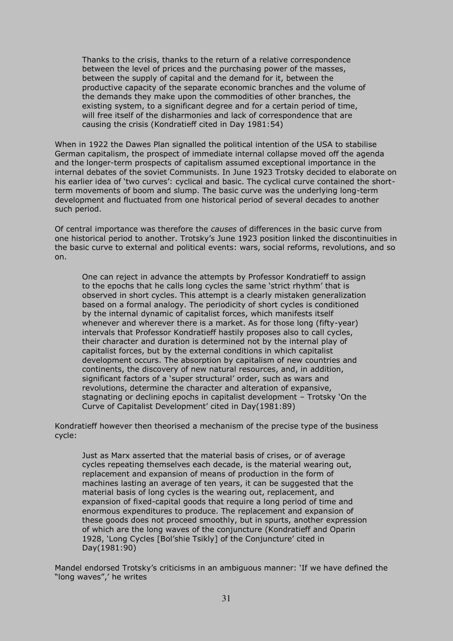Thanks to the crisis, thanks to the return of a relative correspondence between the level of prices and the purchasing power of the masses, between the supply of capital and the demand for it, between the productive capacity of the separate economic branches and the volume of the demands they make upon the commodities of other branches, the existing system, to a significant degree and for a certain period of time, will free itself of the disharmonies and lack of correspondence that are causing the crisis (Kondratieff cited in Day 1981:54)

When in 1922 the Dawes Plan signalled the political intention of the USA to stabilise German capitalism, the prospect of immediate internal collapse moved off the agenda and the longer-term prospects of capitalism assumed exceptional importance in the internal debates of the soviet Communists. In June 1923 Trotsky decided to elaborate on his earlier idea of 'two curves': cyclical and basic. The cyclical curve contained the shortterm movements of boom and slump. The basic curve was the underlying long-term development and fluctuated from one historical period of several decades to another such period.

Of central importance was therefore the *causes* of differences in the basic curve from one historical period to another. Trotsky's June 1923 position linked the discontinuities in the basic curve to external and political events: wars, social reforms, revolutions, and so on.

One can reject in advance the attempts by Professor Kondratieff to assign to the epochs that he calls long cycles the same 'strict rhythm' that is observed in short cycles. This attempt is a clearly mistaken generalization based on a formal analogy. The periodicity of short cycles is conditioned by the internal dynamic of capitalist forces, which manifests itself whenever and wherever there is a market. As for those long (fifty-year) intervals that Professor Kondratieff hastily proposes also to call cycles, their character and duration is determined not by the internal play of capitalist forces, but by the external conditions in which capitalist development occurs. The absorption by capitalism of new countries and continents, the discovery of new natural resources, and, in addition, significant factors of a 'super structural' order, such as wars and revolutions, determine the character and alteration of expansive, stagnating or declining epochs in capitalist development – Trotsky 'On the Curve of Capitalist Development' cited in Day(1981:89)

Kondratieff however then theorised a mechanism of the precise type of the business cycle:

Just as Marx asserted that the material basis of crises, or of average cycles repeating themselves each decade, is the material wearing out, replacement and expansion of means of production in the form of machines lasting an average of ten years, it can be suggested that the material basis of long cycles is the wearing out, replacement, and expansion of fixed-capital goods that require a long period of time and enormous expenditures to produce. The replacement and expansion of these goods does not proceed smoothly, but in spurts, another expression of which are the long waves of the conjuncture (Kondratieff and Oparin 1928, 'Long Cycles [Bol'shie Tsikly] of the Conjuncture' cited in Day(1981:90)

Mandel endorsed Trotsky's criticisms in an ambiguous manner: 'If we have defined the "long waves",' he writes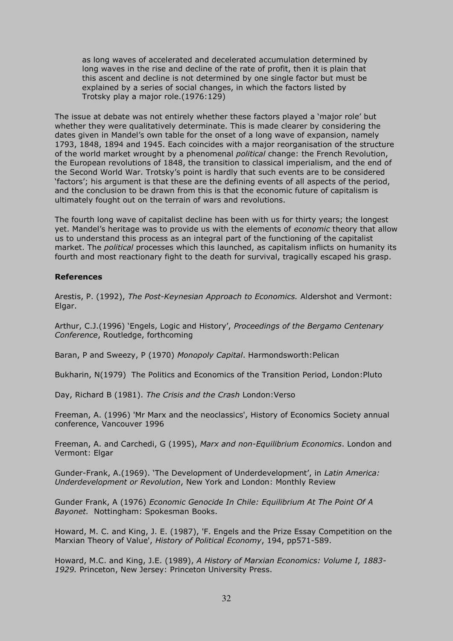as long waves of accelerated and decelerated accumulation determined by long waves in the rise and decline of the rate of profit, then it is plain that this ascent and decline is not determined by one single factor but must be explained by a series of social changes, in which the factors listed by Trotsky play a major role.(1976:129)

The issue at debate was not entirely whether these factors played a 'major role' but whether they were qualitatively determinate. This is made clearer by considering the dates given in Mandel's own table for the onset of a long wave of expansion, namely 1793, 1848, 1894 and 1945. Each coincides with a major reorganisation of the structure of the world market wrought by a phenomenal *political* change: the French Revolution, the European revolutions of 1848, the transition to classical imperialism, and the end of the Second World War. Trotsky's point is hardly that such events are to be considered 'factors'; his argument is that these are the defining events of all aspects of the period, and the conclusion to be drawn from this is that the economic future of capitalism is ultimately fought out on the terrain of wars and revolutions.

The fourth long wave of capitalist decline has been with us for thirty years; the longest yet. Mandel's heritage was to provide us with the elements of *economic* theory that allow us to understand this process as an integral part of the functioning of the capitalist market. The *political* processes which this launched, as capitalism inflicts on humanity its fourth and most reactionary fight to the death for survival, tragically escaped his grasp.

### **References**

Arestis, P. (1992), *The Post-Keynesian Approach to Economics.* Aldershot and Vermont: Elgar.

Arthur, C.J.(1996) 'Engels, Logic and History', *Proceedings of the Bergamo Centenary Conference*, Routledge, forthcoming

Baran, P and Sweezy, P (1970) *Monopoly Capital*. Harmondsworth:Pelican

Bukharin, N(1979) The Politics and Economics of the Transition Period, London:Pluto

Day, Richard B (1981). *The Crisis and the Crash* London:Verso

Freeman, A. (1996) 'Mr Marx and the neoclassics', History of Economics Society annual conference, Vancouver 1996

Freeman, A. and Carchedi, G (1995), *Marx and non-Equilibrium Economics*. London and Vermont: Elgar

Gunder-Frank, A.(1969). 'The Development of Underdevelopment', in *Latin America: Underdevelopment or Revolution*, New York and London: Monthly Review

Gunder Frank, A (1976) *Economic Genocide In Chile: Equilibrium At The Point Of A Bayonet.* Nottingham: Spokesman Books.

Howard, M. C. and King, J. E. (1987), 'F. Engels and the Prize Essay Competition on the Marxian Theory of Value', *History of Political Economy*, 194, pp571-589.

Howard, M.C. and King, J.E. (1989), *A History of Marxian Economics: Volume I, 1883- 1929.* Princeton, New Jersey: Princeton University Press.